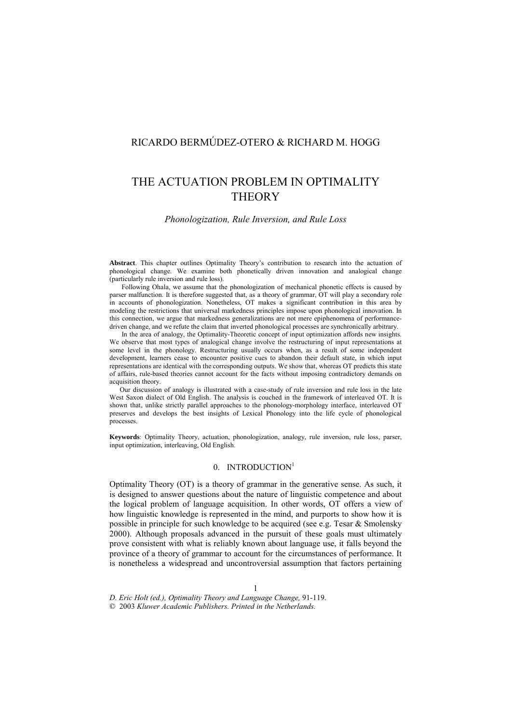# THE ACTUATION PROBLEM IN OPTIMALITY **THEORY**

### *Phonologization, Rule Inversion, and Rule Loss*

Abstract. This chapter outlines Optimality Theory's contribution to research into the actuation of phonological change. We examine both phonetically driven innovation and analogical change (particularly rule inversion and rule loss).

Following Ohala, we assume that the phonologization of mechanical phonetic effects is caused by parser malfunction. It is therefore suggested that, as a theory of grammar, OT will play a secondary role in accounts of phonologization. Nonetheless, OT makes a significant contribution in this area by modeling the restrictions that universal markedness principles impose upon phonological innovation. In this connection, we argue that markedness generalizations are not mere epiphenomena of performancedriven change, and we refute the claim that inverted phonological processes are synchronically arbitrary.

In the area of analogy, the Optimality-Theoretic concept of input optimization affords new insights. We observe that most types of analogical change involve the restructuring of input representations at some level in the phonology. Restructuring usually occurs when, as a result of some independent development, learners cease to encounter positive cues to abandon their default state, in which input representations are identical with the corresponding outputs. We show that, whereas OT predicts this state of affairs, rule-based theories cannot account for the facts without imposing contradictory demands on acquisition theory.

Our discussion of analogy is illustrated with a case-study of rule inversion and rule loss in the late West Saxon dialect of Old English. The analysis is couched in the framework of interleaved OT. It is shown that, unlike strictly parallel approaches to the phonology-morphology interface, interleaved OT preserves and develops the best insights of Lexical Phonology into the life cycle of phonological processes.

**Keywords**: Optimality Theory, actuation, phonologization, analogy, rule inversion, rule loss, parser, input optimization, interleaving, Old English.

### $0.$  INTRODUCTION<sup>1</sup>

Optimality Theory (OT) is a theory of grammar in the generative sense. As such, it is designed to answer questions about the nature of linguistic competence and about the logical problem of language acquisition. In other words, OT offers a view of how linguistic knowledge is represented in the mind, and purports to show how it is possible in principle for such knowledge to be acquired (see e.g. Tesar & Smolensky 2000). Although proposals advanced in the pursuit of these goals must ultimately prove consistent with what is reliably known about language use, it falls beyond the province of a theory of grammar to account for the circumstances of performance. It is nonetheless a widespread and uncontroversial assumption that factors pertaining

*D. Eric Holt (ed.), Optimality Theory and Language Change,* 91-119.

© 2003 *Kluwer Academic Publishers. Printed in the Netherlands.*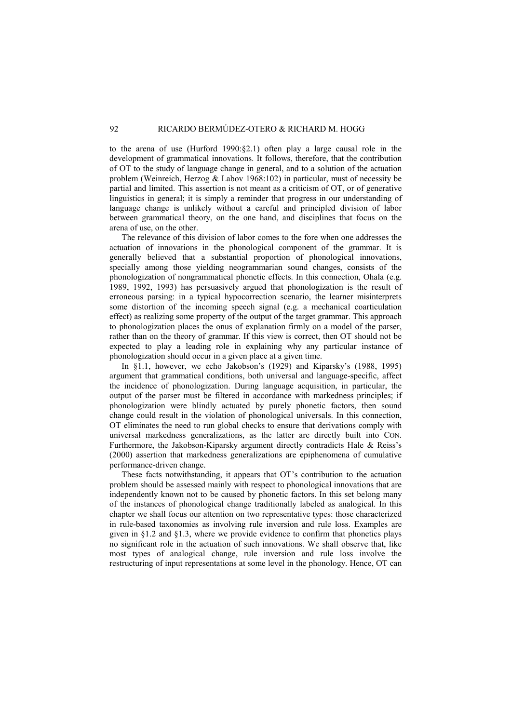to the arena of use (Hurford 1990:  $\S$ 2.1) often play a large causal role in the development of grammatical innovations. It follows, therefore, that the contribution of OT to the study of language change in general, and to a solution of the actuation problem (Weinreich, Herzog & Labov 1968:102) in particular, must of necessity be partial and limited. This assertion is not meant as a criticism of OT, or of generative linguistics in general; it is simply a reminder that progress in our understanding of language change is unlikely without a careful and principled division of labor between grammatical theory, on the one hand, and disciplines that focus on the arena of use, on the other.

The relevance of this division of labor comes to the fore when one addresses the actuation of innovations in the phonological component of the grammar. It is generally believed that a substantial proportion of phonological innovations, specially among those yielding neogrammarian sound changes, consists of the phonologization of nongrammatical phonetic effects. In this connection, Ohala (e.g. 1989, 1992, 1993) has persuasively argued that phonologization is the result of erroneous parsing: in a typical hypocorrection scenario, the learner misinterprets some distortion of the incoming speech signal (e.g. a mechanical coarticulation effect) as realizing some property of the output of the target grammar. This approach to phonologization places the onus of explanation firmly on a model of the parser, rather than on the theory of grammar. If this view is correct, then OT should not be expected to play a leading role in explaining why any particular instance of phonologization should occur in a given place at a given time.

In  $\S1.1$ , however, we echo Jakobson's (1929) and Kiparsky's (1988, 1995) argument that grammatical conditions, both universal and language-specific, affect the incidence of phonologization. During language acquisition, in particular, the output of the parser must be filtered in accordance with markedness principles; if phonologization were blindly actuated by purely phonetic factors, then sound change could result in the violation of phonological universals. In this connection, OT eliminates the need to run global checks to ensure that derivations comply with universal markedness generalizations, as the latter are directly built into CON. Furthermore, the Jakobson-Kiparsky argument directly contradicts Hale & Reiss's (2000) assertion that markedness generalizations are epiphenomena of cumulative performance-driven change.

These facts notwithstanding, it appears that  $OT$ 's contribution to the actuation problem should be assessed mainly with respect to phonological innovations that are independently known not to be caused by phonetic factors. In this set belong many of the instances of phonological change traditionally labeled as analogical. In this chapter we shall focus our attention on two representative types: those characterized in rule-based taxonomies as involving rule inversion and rule loss. Examples are given in  $\S1.2$  and  $\S1.3$ , where we provide evidence to confirm that phonetics plays no significant role in the actuation of such innovations. We shall observe that, like most types of analogical change, rule inversion and rule loss involve the restructuring of input representations at some level in the phonology. Hence, OT can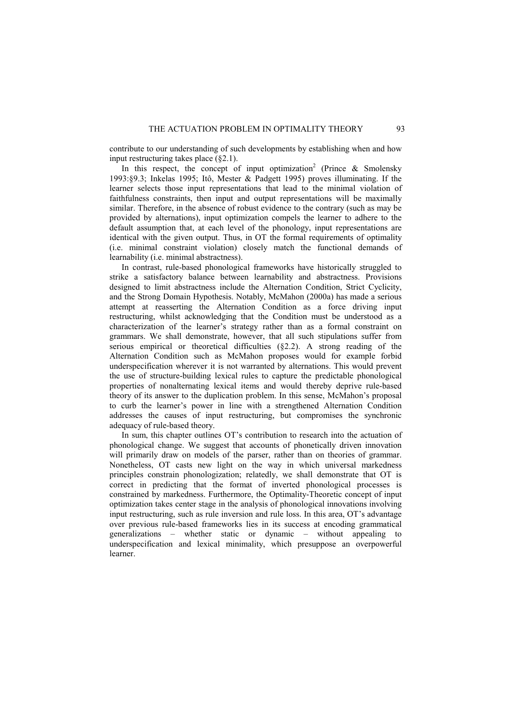contribute to our understanding of such developments by establishing when and how input restructuring takes place (ß2.1).

In this respect, the concept of input optimization<sup>2</sup> (Prince  $\&$  Smolensky 1993:ß9.3; Inkelas 1995; ItÙ, Mester & Padgett 1995) proves illuminating. If the learner selects those input representations that lead to the minimal violation of faithfulness constraints, then input and output representations will be maximally similar. Therefore, in the absence of robust evidence to the contrary (such as may be provided by alternations), input optimization compels the learner to adhere to the default assumption that, at each level of the phonology, input representations are identical with the given output. Thus, in OT the formal requirements of optimality (i.e. minimal constraint violation) closely match the functional demands of learnability (i.e. minimal abstractness).

In contrast, rule-based phonological frameworks have historically struggled to strike a satisfactory balance between learnability and abstractness. Provisions designed to limit abstractness include the Alternation Condition, Strict Cyclicity, and the Strong Domain Hypothesis. Notably, McMahon (2000a) has made a serious attempt at reasserting the Alternation Condition as a force driving input restructuring, whilst acknowledging that the Condition must be understood as a characterization of the learner's strategy rather than as a formal constraint on grammars. We shall demonstrate, however, that all such stipulations suffer from serious empirical or theoretical difficulties (ß2.2). A strong reading of the Alternation Condition such as McMahon proposes would for example forbid underspecification wherever it is not warranted by alternations. This would prevent the use of structure-building lexical rules to capture the predictable phonological properties of nonalternating lexical items and would thereby deprive rule-based theory of its answer to the duplication problem. In this sense, McMahon's proposal to curb the learner's power in line with a strengthened Alternation Condition addresses the causes of input restructuring, but compromises the synchronic adequacy of rule-based theory.

In sum, this chapter outlines OT's contribution to research into the actuation of phonological change. We suggest that accounts of phonetically driven innovation will primarily draw on models of the parser, rather than on theories of grammar. Nonetheless, OT casts new light on the way in which universal markedness principles constrain phonologization; relatedly, we shall demonstrate that OT is correct in predicting that the format of inverted phonological processes is constrained by markedness. Furthermore, the Optimality-Theoretic concept of input optimization takes center stage in the analysis of phonological innovations involving input restructuring, such as rule inversion and rule loss. In this area, OT's advantage over previous rule-based frameworks lies in its success at encoding grammatical generalizations – whether static or dynamic – without appealing to underspecification and lexical minimality, which presuppose an overpowerful learner.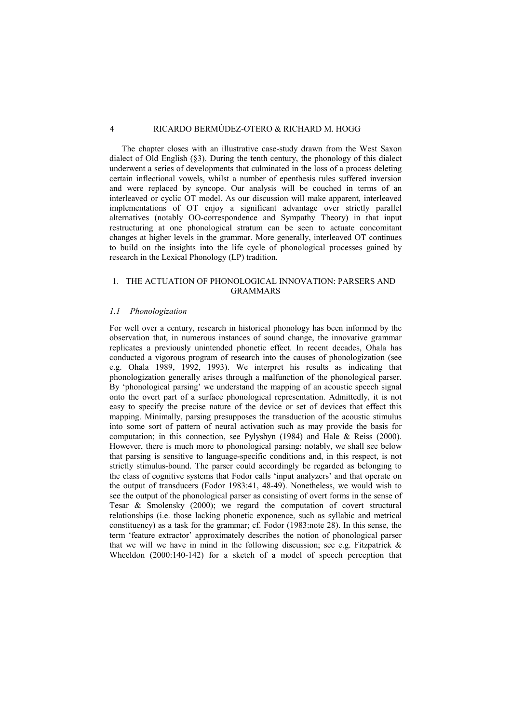The chapter closes with an illustrative case-study drawn from the West Saxon dialect of Old English  $(\xi_3)$ . During the tenth century, the phonology of this dialect underwent a series of developments that culminated in the loss of a process deleting certain inflectional vowels, whilst a number of epenthesis rules suffered inversion and were replaced by syncope. Our analysis will be couched in terms of an interleaved or cyclic OT model. As our discussion will make apparent, interleaved implementations of OT enjoy a significant advantage over strictly parallel alternatives (notably OO-correspondence and Sympathy Theory) in that input restructuring at one phonological stratum can be seen to actuate concomitant changes at higher levels in the grammar. More generally, interleaved OT continues to build on the insights into the life cycle of phonological processes gained by research in the Lexical Phonology (LP) tradition.

# 1. THE ACTUATION OF PHONOLOGICAL INNOVATION: PARSERS AND GRAMMARS

#### *1.1 Phonologization*

For well over a century, research in historical phonology has been informed by the observation that, in numerous instances of sound change, the innovative grammar replicates a previously unintended phonetic effect. In recent decades, Ohala has conducted a vigorous program of research into the causes of phonologization (see e.g. Ohala 1989, 1992, 1993). We interpret his results as indicating that phonologization generally arises through a malfunction of the phonological parser. By 'phonological parsing' we understand the mapping of an acoustic speech signal onto the overt part of a surface phonological representation. Admittedly, it is not easy to specify the precise nature of the device or set of devices that effect this mapping. Minimally, parsing presupposes the transduction of the acoustic stimulus into some sort of pattern of neural activation such as may provide the basis for computation; in this connection, see Pylyshyn (1984) and Hale & Reiss (2000). However, there is much more to phonological parsing: notably, we shall see below that parsing is sensitive to language-specific conditions and, in this respect, is not strictly stimulus-bound. The parser could accordingly be regarded as belonging to the class of cognitive systems that Fodor calls 'input analyzers' and that operate on the output of transducers (Fodor 1983:41, 48-49). Nonetheless, we would wish to see the output of the phonological parser as consisting of overt forms in the sense of Tesar & Smolensky (2000); we regard the computation of covert structural relationships (i.e. those lacking phonetic exponence, such as syllabic and metrical constituency) as a task for the grammar; cf. Fodor (1983:note 28). In this sense, the term 'feature extractor' approximately describes the notion of phonological parser that we will we have in mind in the following discussion; see e.g. Fitzpatrick  $\&$ Wheeldon (2000:140-142) for a sketch of a model of speech perception that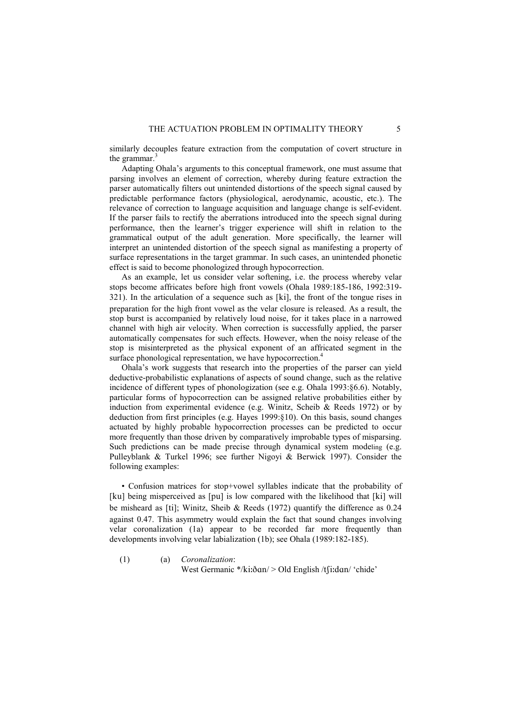similarly decouples feature extraction from the computation of covert structure in the grammar. $\frac{3}{2}$ 

Adapting Ohala's arguments to this conceptual framework, one must assume that parsing involves an element of correction, whereby during feature extraction the parser automatically filters out unintended distortions of the speech signal caused by predictable performance factors (physiological, aerodynamic, acoustic, etc.). The relevance of correction to language acquisition and language change is self-evident. If the parser fails to rectify the aberrations introduced into the speech signal during performance, then the learner's trigger experience will shift in relation to the grammatical output of the adult generation. More specifically, the learner will interpret an unintended distortion of the speech signal as manifesting a property of surface representations in the target grammar. In such cases, an unintended phonetic effect is said to become phonologized through hypocorrection.

As an example, let us consider velar softening, i.e. the process whereby velar stops become affricates before high front vowels (Ohala 1989:185-186, 1992:319- 321). In the articulation of a sequence such as [ki], the front of the tongue rises in preparation for the high front vowel as the velar closure is released. As a result, the stop burst is accompanied by relatively loud noise, for it takes place in a narrowed channel with high air velocity. When correction is successfully applied, the parser automatically compensates for such effects. However, when the noisy release of the stop is misinterpreted as the physical exponent of an affricated segment in the surface phonological representation, we have hypocorrection.<sup>4</sup>

Ohalaís work suggests that research into the properties of the parser can yield deductive-probabilistic explanations of aspects of sound change, such as the relative incidence of different types of phonologization (see e.g. Ohala 1993: $§6.6$ ). Notably, particular forms of hypocorrection can be assigned relative probabilities either by induction from experimental evidence (e.g. Winitz, Scheib & Reeds 1972) or by deduction from first principles (e.g. Hayes  $1999:§10$ ). On this basis, sound changes actuated by highly probable hypocorrection processes can be predicted to occur more frequently than those driven by comparatively improbable types of misparsing. Such predictions can be made precise through dynamical system modeling (e.g. Pulleyblank & Turkel 1996; see further Nigoyi & Berwick 1997). Consider the following examples:

• Confusion matrices for stop+vowel syllables indicate that the probability of [ku] being misperceived as [pu] is low compared with the likelihood that [ki] will be misheard as [ti]; Winitz, Sheib & Reeds (1972) quantify the difference as 0.24 against 0.47. This asymmetry would explain the fact that sound changes involving velar coronalization (1a) appear to be recorded far more frequently than developments involving velar labialization (1b); see Ohala (1989:182-185).

(1) (a) *Coronalization*:

West Germanic  $*$ /kiːðɑn/ > Old English /t $\int$ iːdɑn/ 'chide'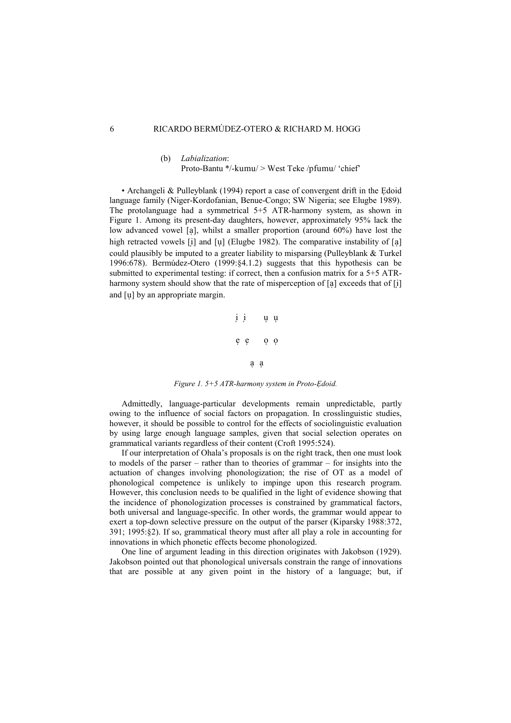#### (b) *Labialization*: Proto-Bantu \*/-kumu/ > West Teke /pfumu/ 'chief'

• Archangeli & Pulleyblank (1994) report a case of convergent drift in the Edoid language family (Niger-Kordofanian, Benue-Congo; SW Nigeria; see Elugbe 1989). The protolanguage had a symmetrical 5+5 ATR-harmony system, as shown in Figure 1. Among its present-day daughters, however, approximately 95% lack the low advanced vowel [a1], whilst a smaller proportion (around 60%) have lost the high retracted vowels  $[i]$  and  $[i]$  (Elugbe 1982). The comparative instability of  $[a]$ could plausibly be imputed to a greater liability to misparsing (Pulleyblank & Turkel 1996:678). Berm˙dez-Otero (1999:ß4.1.2) suggests that this hypothesis can be submitted to experimental testing: if correct, then a confusion matrix for a 5+5 ATRharmony system should show that the rate of misperception of [a] exceeds that of [i] and [u] by an appropriate margin.

> i i uu  $e e$   $0 q$ a a

*Figure 1. 5+5 ATR-harmony system in Proto-Ẹdoid.* 

Admittedly, language-particular developments remain unpredictable, partly owing to the influence of social factors on propagation. In crosslinguistic studies, however, it should be possible to control for the effects of sociolinguistic evaluation by using large enough language samples, given that social selection operates on grammatical variants regardless of their content (Croft 1995:524).

If our interpretation of Ohala's proposals is on the right track, then one must look to models of the parser  $-$  rather than to theories of grammar  $-$  for insights into the actuation of changes involving phonologization; the rise of OT as a model of phonological competence is unlikely to impinge upon this research program. However, this conclusion needs to be qualified in the light of evidence showing that the incidence of phonologization processes is constrained by grammatical factors, both universal and language-specific. In other words, the grammar would appear to exert a top-down selective pressure on the output of the parser (Kiparsky 1988:372, 391; 1995:ß2). If so, grammatical theory must after all play a role in accounting for innovations in which phonetic effects become phonologized.

One line of argument leading in this direction originates with Jakobson (1929). Jakobson pointed out that phonological universals constrain the range of innovations that are possible at any given point in the history of a language; but, if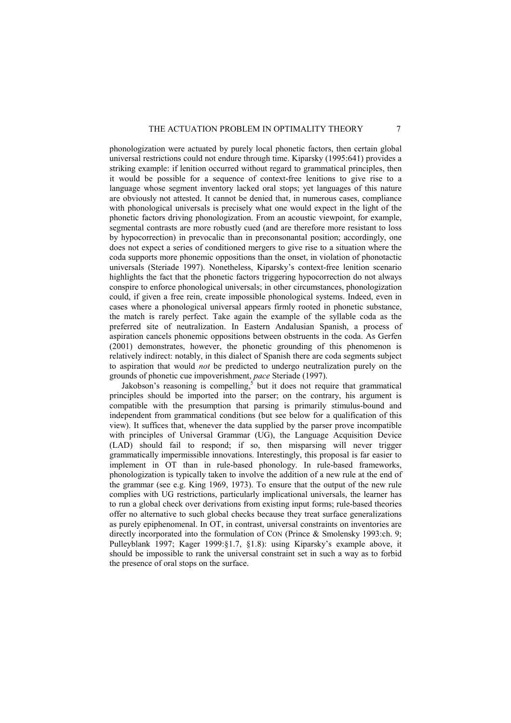phonologization were actuated by purely local phonetic factors, then certain global universal restrictions could not endure through time. Kiparsky (1995:641) provides a striking example: if lenition occurred without regard to grammatical principles, then it would be possible for a sequence of context-free lenitions to give rise to a language whose segment inventory lacked oral stops; yet languages of this nature are obviously not attested. It cannot be denied that, in numerous cases, compliance with phonological universals is precisely what one would expect in the light of the phonetic factors driving phonologization. From an acoustic viewpoint, for example, segmental contrasts are more robustly cued (and are therefore more resistant to loss by hypocorrection) in prevocalic than in preconsonantal position; accordingly, one does not expect a series of conditioned mergers to give rise to a situation where the coda supports more phonemic oppositions than the onset, in violation of phonotactic universals (Steriade 1997). Nonetheless, Kiparsky's context-free lenition scenario highlights the fact that the phonetic factors triggering hypocorrection do not always conspire to enforce phonological universals; in other circumstances, phonologization could, if given a free rein, create impossible phonological systems. Indeed, even in cases where a phonological universal appears firmly rooted in phonetic substance, the match is rarely perfect. Take again the example of the syllable coda as the preferred site of neutralization. In Eastern Andalusian Spanish, a process of aspiration cancels phonemic oppositions between obstruents in the coda. As Gerfen (2001) demonstrates, however, the phonetic grounding of this phenomenon is relatively indirect: notably, in this dialect of Spanish there are coda segments subject to aspiration that would *not* be predicted to undergo neutralization purely on the grounds of phonetic cue impoverishment, *pace* Steriade (1997).

Jakobson's reasoning is compelling, but it does not require that grammatical principles should be imported into the parser; on the contrary, his argument is compatible with the presumption that parsing is primarily stimulus-bound and independent from grammatical conditions (but see below for a qualification of this view). It suffices that, whenever the data supplied by the parser prove incompatible with principles of Universal Grammar (UG), the Language Acquisition Device (LAD) should fail to respond; if so, then misparsing will never trigger grammatically impermissible innovations. Interestingly, this proposal is far easier to implement in OT than in rule-based phonology. In rule-based frameworks, phonologization is typically taken to involve the addition of a new rule at the end of the grammar (see e.g. King 1969, 1973). To ensure that the output of the new rule complies with UG restrictions, particularly implicational universals, the learner has to run a global check over derivations from existing input forms; rule-based theories offer no alternative to such global checks because they treat surface generalizations as purely epiphenomenal. In OT, in contrast, universal constraints on inventories are directly incorporated into the formulation of CON (Prince & Smolensky 1993:ch. 9; Pulleyblank 1997; Kager 1999:§1.7, §1.8): using Kiparsky's example above, it should be impossible to rank the universal constraint set in such a way as to forbid the presence of oral stops on the surface.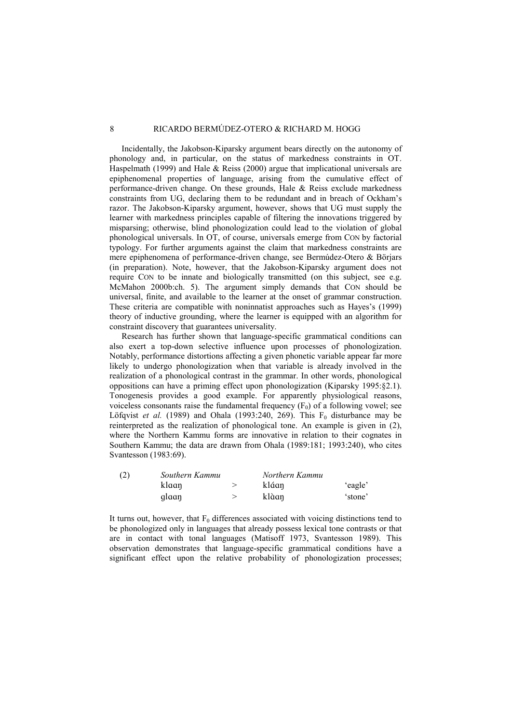Incidentally, the Jakobson-Kiparsky argument bears directly on the autonomy of phonology and, in particular, on the status of markedness constraints in OT. Haspelmath (1999) and Hale & Reiss (2000) argue that implicational universals are epiphenomenal properties of language, arising from the cumulative effect of performance-driven change. On these grounds, Hale & Reiss exclude markedness constraints from UG, declaring them to be redundant and in breach of Ockham's razor. The Jakobson-Kiparsky argument, however, shows that UG must supply the learner with markedness principles capable of filtering the innovations triggered by misparsing; otherwise, blind phonologization could lead to the violation of global phonological universals. In OT, of course, universals emerge from CON by factorial typology. For further arguments against the claim that markedness constraints are mere epiphenomena of performance-driven change, see Bermúdez-Otero & Börjars (in preparation). Note, however, that the Jakobson-Kiparsky argument does not require CON to be innate and biologically transmitted (on this subject, see e.g. McMahon 2000b:ch. 5). The argument simply demands that CON should be universal, finite, and available to the learner at the onset of grammar construction. These criteria are compatible with noninnatist approaches such as Hayes's (1999) theory of inductive grounding, where the learner is equipped with an algorithm for constraint discovery that guarantees universality.

Research has further shown that language-specific grammatical conditions can also exert a top-down selective influence upon processes of phonologization. Notably, performance distortions affecting a given phonetic variable appear far more likely to undergo phonologization when that variable is already involved in the realization of a phonological contrast in the grammar. In other words, phonological oppositions can have a priming effect upon phonologization (Kiparsky 1995: $\S 2.1$ ). Tonogenesis provides a good example. For apparently physiological reasons, voiceless consonants raise the fundamental frequency  $(F_0)$  of a following vowel; see Löfqvist et al. (1989) and Ohala (1993:240, 269). This  $F_0$  disturbance may be reinterpreted as the realization of phonological tone. An example is given in (2), where the Northern Kammu forms are innovative in relation to their cognates in Southern Kammu; the data are drawn from Ohala (1989:181; 1993:240), who cites Svantesson (1983:69).

| (2) | Southern Kammu | Northern Kammu |         |  |
|-----|----------------|----------------|---------|--|
|     | klaan          | kláan          | 'eagle' |  |
|     | glaan          | klàan          | 'stone' |  |

It turns out, however, that  $F_0$  differences associated with voicing distinctions tend to be phonologized only in languages that already possess lexical tone contrasts or that are in contact with tonal languages (Matisoff 1973, Svantesson 1989). This observation demonstrates that language-specific grammatical conditions have a significant effect upon the relative probability of phonologization processes;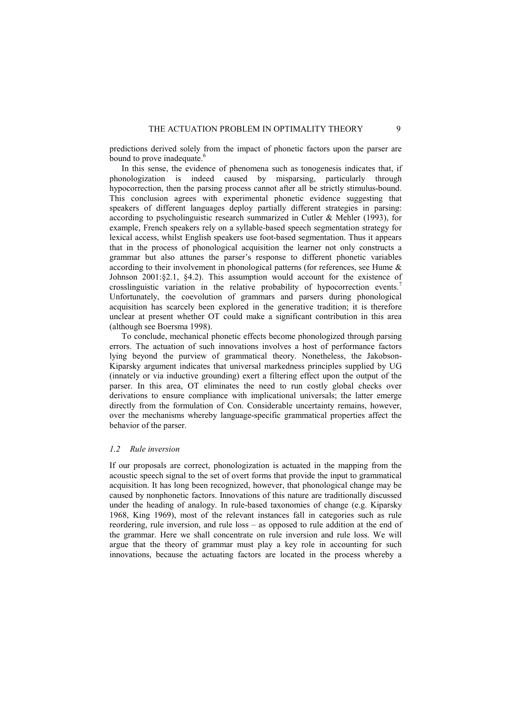predictions derived solely from the impact of phonetic factors upon the parser are bound to prove inadequate.<sup>6</sup>

In this sense, the evidence of phenomena such as tonogenesis indicates that, if phonologization is indeed caused by misparsing, particularly through hypocorrection, then the parsing process cannot after all be strictly stimulus-bound. This conclusion agrees with experimental phonetic evidence suggesting that speakers of different languages deploy partially different strategies in parsing: according to psycholinguistic research summarized in Cutler & Mehler (1993), for example, French speakers rely on a syllable-based speech segmentation strategy for lexical access, whilst English speakers use foot-based segmentation. Thus it appears that in the process of phonological acquisition the learner not only constructs a grammar but also attunes the parser's response to different phonetic variables according to their involvement in phonological patterns (for references, see Hume & Johnson 2001:§2.1, §4.2). This assumption would account for the existence of crosslinguistic variation in the relative probability of hypocorrection events.<sup>7</sup> Unfortunately, the coevolution of grammars and parsers during phonological acquisition has scarcely been explored in the generative tradition; it is therefore unclear at present whether OT could make a significant contribution in this area (although see Boersma 1998).

To conclude, mechanical phonetic effects become phonologized through parsing errors. The actuation of such innovations involves a host of performance factors lying beyond the purview of grammatical theory. Nonetheless, the Jakobson-Kiparsky argument indicates that universal markedness principles supplied by UG (innately or via inductive grounding) exert a filtering effect upon the output of the parser. In this area, OT eliminates the need to run costly global checks over derivations to ensure compliance with implicational universals; the latter emerge directly from the formulation of Con. Considerable uncertainty remains, however, over the mechanisms whereby language-specific grammatical properties affect the behavior of the parser.

# *1.2 Rule inversion*

If our proposals are correct, phonologization is actuated in the mapping from the acoustic speech signal to the set of overt forms that provide the input to grammatical acquisition. It has long been recognized, however, that phonological change may be caused by nonphonetic factors. Innovations of this nature are traditionally discussed under the heading of analogy. In rule-based taxonomies of change (e.g. Kiparsky 1968, King 1969), most of the relevant instances fall in categories such as rule reordering, rule inversion, and rule  $loss - as$  opposed to rule addition at the end of the grammar. Here we shall concentrate on rule inversion and rule loss. We will argue that the theory of grammar must play a key role in accounting for such innovations, because the actuating factors are located in the process whereby a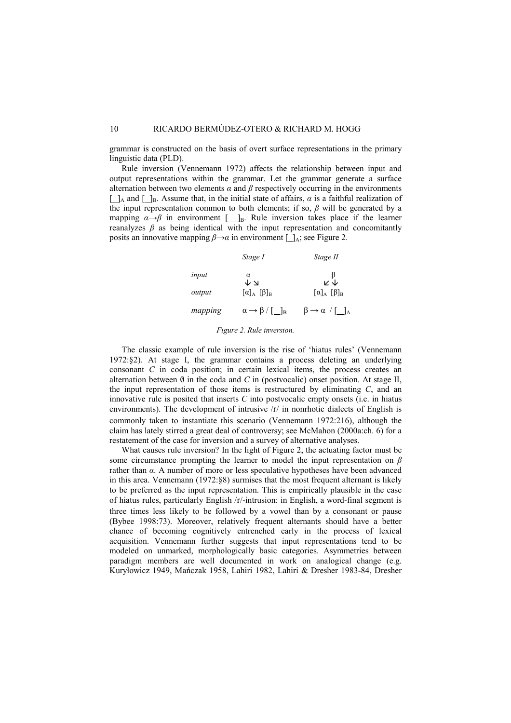grammar is constructed on the basis of overt surface representations in the primary linguistic data (PLD).

Rule inversion (Vennemann 1972) affects the relationship between input and output representations within the grammar. Let the grammar generate a surface alternation between two elements  $\alpha$  and  $\beta$  respectively occurring in the environments  $[\_\]_A$  and  $[\_\]_B$ . Assume that, in the initial state of affairs,  $\alpha$  is a faithful realization of the input representation common to both elements; if so, *β* will be generated by a mapping  $\alpha \rightarrow \beta$  in environment  $[\_\]_B$ . Rule inversion takes place if the learner reanalyzes  $\beta$  as being identical with the input representation and concomitantly posits an innovative mapping  $\beta \rightarrow \alpha$  in environment  $[\_]\_A$ ; see Figure 2.

|         | Stage I                        | Stage II                                |
|---------|--------------------------------|-----------------------------------------|
| input   | α<br>$\downarrow$ $\downarrow$ | ß<br>ะ√                                 |
| output  | $[\alpha]_A [\beta]_B$         | $[\alpha]_A [\beta]_B$                  |
| mapping |                                | $\beta \rightarrow \alpha / \vert$    A |

*Figure 2. Rule inversion.* 

The classic example of rule inversion is the rise of 'hiatus rules' (Vennemann 1972:ß2). At stage I, the grammar contains a process deleting an underlying consonant *C* in coda position; in certain lexical items, the process creates an alternation between  $\emptyset$  in the coda and *C* in (postvocalic) onset position. At stage II, the input representation of those items is restructured by eliminating *C*, and an innovative rule is posited that inserts *C* into postvocalic empty onsets (i.e. in hiatus environments). The development of intrusive  $\langle r \rangle$  in nonrhotic dialects of English is commonly taken to instantiate this scenario (Vennemann 1972:216), although the claim has lately stirred a great deal of controversy; see McMahon (2000a:ch. 6) for a restatement of the case for inversion and a survey of alternative analyses.

What causes rule inversion? In the light of Figure 2, the actuating factor must be some circumstance prompting the learner to model the input representation on *β* rather than  $α$ . A number of more or less speculative hypotheses have been advanced in this area. Vennemann  $(1972:§8)$  surmises that the most frequent alternant is likely to be preferred as the input representation. This is empirically plausible in the case of hiatus rules, particularly English /r/-intrusion: in English, a word-final segment is three times less likely to be followed by a vowel than by a consonant or pause (Bybee 1998:73). Moreover, relatively frequent alternants should have a better chance of becoming cognitively entrenched early in the process of lexical acquisition. Vennemann further suggests that input representations tend to be modeled on unmarked, morphologically basic categories. Asymmetries between paradigm members are well documented in work on analogical change (e.g. Kuryłowicz 1949, Mańczak 1958, Lahiri 1982, Lahiri & Dresher 1983-84, Dresher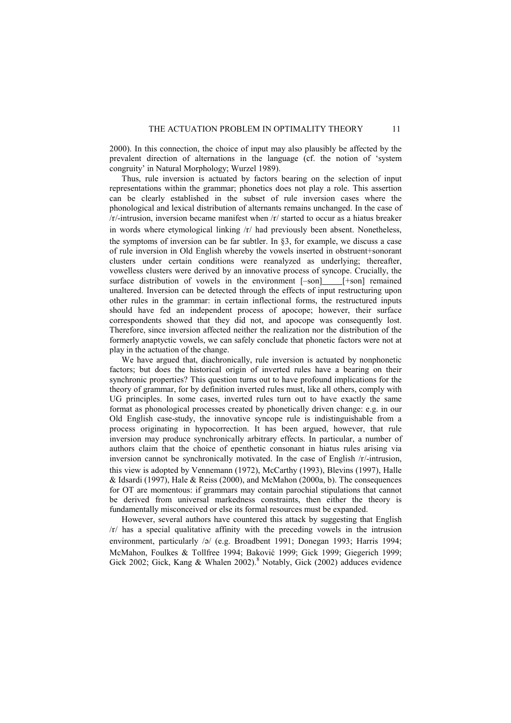2000). In this connection, the choice of input may also plausibly be affected by the prevalent direction of alternations in the language (cf. the notion of ësystem congruity' in Natural Morphology; Wurzel 1989).

Thus, rule inversion is actuated by factors bearing on the selection of input representations within the grammar; phonetics does not play a role. This assertion can be clearly established in the subset of rule inversion cases where the phonological and lexical distribution of alternants remains unchanged. In the case of /r/-intrusion, inversion became manifest when /r/ started to occur as a hiatus breaker in words where etymological linking /r/ had previously been absent. Nonetheless, the symptoms of inversion can be far subtler. In ß3, for example, we discuss a case of rule inversion in Old English whereby the vowels inserted in obstruent+sonorant clusters under certain conditions were reanalyzed as underlying; thereafter, vowelless clusters were derived by an innovative process of syncope. Crucially, the surface distribution of vowels in the environment [-son] [+son] remained unaltered. Inversion can be detected through the effects of input restructuring upon other rules in the grammar: in certain inflectional forms, the restructured inputs should have fed an independent process of apocope; however, their surface correspondents showed that they did not, and apocope was consequently lost. Therefore, since inversion affected neither the realization nor the distribution of the formerly anaptyctic vowels, we can safely conclude that phonetic factors were not at play in the actuation of the change.

We have argued that, diachronically, rule inversion is actuated by nonphonetic factors; but does the historical origin of inverted rules have a bearing on their synchronic properties? This question turns out to have profound implications for the theory of grammar, for by definition inverted rules must, like all others, comply with UG principles. In some cases, inverted rules turn out to have exactly the same format as phonological processes created by phonetically driven change: e.g. in our Old English case-study, the innovative syncope rule is indistinguishable from a process originating in hypocorrection. It has been argued, however, that rule inversion may produce synchronically arbitrary effects. In particular, a number of authors claim that the choice of epenthetic consonant in hiatus rules arising via inversion cannot be synchronically motivated. In the case of English /r/-intrusion, this view is adopted by Vennemann (1972), McCarthy (1993), Blevins (1997), Halle & Idsardi (1997), Hale & Reiss (2000), and McMahon (2000a, b). The consequences for OT are momentous: if grammars may contain parochial stipulations that cannot be derived from universal markedness constraints, then either the theory is fundamentally misconceived or else its formal resources must be expanded.

However, several authors have countered this attack by suggesting that English /r/ has a special qualitative affinity with the preceding vowels in the intrusion environment, particularly /ə/ (e.g. Broadbent 1991; Donegan 1993; Harris 1994; McMahon, Foulkes & Tollfree 1994; Baković 1999; Gick 1999; Giegerich 1999; Gick 2002; Gick, Kang & Whalen 2002).<sup>8</sup> Notably, Gick (2002) adduces evidence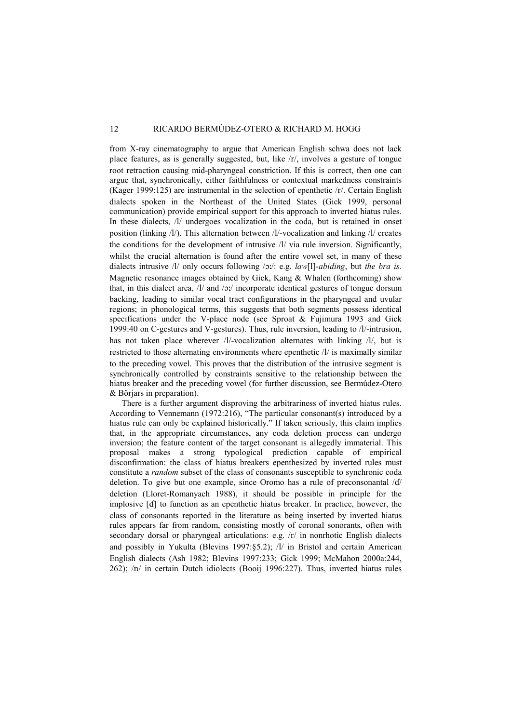from X-ray cinematography to argue that American English schwa does not lack place features, as is generally suggested, but, like /r/, involves a gesture of tongue root retraction causing mid-pharyngeal constriction. If this is correct, then one can argue that, synchronically, either faithfulness or contextual markedness constraints (Kager 1999:125) are instrumental in the selection of epenthetic /r/. Certain English dialects spoken in the Northeast of the United States (Gick 1999, personal communication) provide empirical support for this approach to inverted hiatus rules. In these dialects, /l/ undergoes vocalization in the coda, but is retained in onset position (linking /l/). This alternation between /l/-vocalization and linking /l/ creates the conditions for the development of intrusive /l/ via rule inversion. Significantly, whilst the crucial alternation is found after the entire vowel set, in many of these dialects intrusive /l/ only occurs following / $\sigma$ *l*: e.g. *law*[1]-*abiding*, but *the bra is*. Magnetic resonance images obtained by Gick, Kang & Whalen (forthcoming) show that, in this dialect area,  $\frac{1}{a}$  and  $\frac{1}{2}$  incorporate identical gestures of tongue dorsum backing, leading to similar vocal tract configurations in the pharyngeal and uvular regions; in phonological terms, this suggests that both segments possess identical specifications under the V-place node (see Sproat & Fujimura 1993 and Gick 1999:40 on C-gestures and V-gestures). Thus, rule inversion, leading to /l/-intrusion, has not taken place wherever /l/-vocalization alternates with linking /l/, but is restricted to those alternating environments where epenthetic /l/ is maximally similar to the preceding vowel. This proves that the distribution of the intrusive segment is synchronically controlled by constraints sensitive to the relationship between the hiatus breaker and the preceding vowel (for further discussion, see Bermúdez-Otero  $&$  Börjars in preparation).

There is a further argument disproving the arbitrariness of inverted hiatus rules. According to Vennemann (1972:216), "The particular consonant(s) introduced by a hiatus rule can only be explained historically." If taken seriously, this claim implies that, in the appropriate circumstances, any coda deletion process can undergo inversion; the feature content of the target consonant is allegedly immaterial. This proposal makes a strong typological prediction capable of empirical disconfirmation: the class of hiatus breakers epenthesized by inverted rules must constitute a *random* subset of the class of consonants susceptible to synchronic coda deletion. To give but one example, since Oromo has a rule of preconsonantal  $d/d$ deletion (Lloret-Romanyach 1988), it should be possible in principle for the implosive [d] to function as an epenthetic hiatus breaker. In practice, however, the class of consonants reported in the literature as being inserted by inverted hiatus rules appears far from random, consisting mostly of coronal sonorants, often with secondary dorsal or pharyngeal articulations: e.g.  $\pi$  in nonrhotic English dialects and possibly in Yukulta (Blevins 1997:ß5.2); /l/ in Bristol and certain American English dialects (Ash 1982; Blevins 1997:233; Gick 1999; McMahon 2000a:244, 262); /n/ in certain Dutch idiolects (Booij 1996:227). Thus, inverted hiatus rules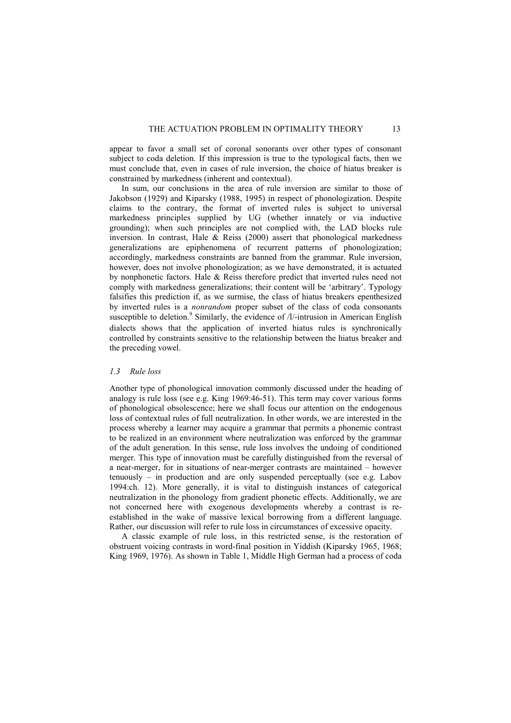appear to favor a small set of coronal sonorants over other types of consonant subject to coda deletion. If this impression is true to the typological facts, then we must conclude that, even in cases of rule inversion, the choice of hiatus breaker is constrained by markedness (inherent and contextual).

In sum, our conclusions in the area of rule inversion are similar to those of Jakobson (1929) and Kiparsky (1988, 1995) in respect of phonologization. Despite claims to the contrary, the format of inverted rules is subject to universal markedness principles supplied by UG (whether innately or via inductive grounding); when such principles are not complied with, the LAD blocks rule inversion. In contrast, Hale & Reiss (2000) assert that phonological markedness generalizations are epiphenomena of recurrent patterns of phonologization; accordingly, markedness constraints are banned from the grammar. Rule inversion, however, does not involve phonologization; as we have demonstrated, it is actuated by nonphonetic factors. Hale & Reiss therefore predict that inverted rules need not comply with markedness generalizations; their content will be 'arbitrary'. Typology falsifies this prediction if, as we surmise, the class of hiatus breakers epenthesized by inverted rules is a *nonrandom* proper subset of the class of coda consonants susceptible to deletion.<sup>9</sup> Similarly, the evidence of /l/-intrusion in American English dialects shows that the application of inverted hiatus rules is synchronically controlled by constraints sensitive to the relationship between the hiatus breaker and the preceding vowel.

#### *1.3 Rule loss*

Another type of phonological innovation commonly discussed under the heading of analogy is rule loss (see e.g. King 1969:46-51). This term may cover various forms of phonological obsolescence; here we shall focus our attention on the endogenous loss of contextual rules of full neutralization. In other words, we are interested in the process whereby a learner may acquire a grammar that permits a phonemic contrast to be realized in an environment where neutralization was enforced by the grammar of the adult generation. In this sense, rule loss involves the undoing of conditioned merger. This type of innovation must be carefully distinguished from the reversal of a near-merger, for in situations of near-merger contrasts are maintained  $-$  however  $t_{\text{enuously}} - \text{in production}$  and are only suspended perceptually (see e.g. Labov 1994:ch. 12). More generally, it is vital to distinguish instances of categorical neutralization in the phonology from gradient phonetic effects. Additionally, we are not concerned here with exogenous developments whereby a contrast is reestablished in the wake of massive lexical borrowing from a different language. Rather, our discussion will refer to rule loss in circumstances of excessive opacity.

A classic example of rule loss, in this restricted sense, is the restoration of obstruent voicing contrasts in word-final position in Yiddish (Kiparsky 1965, 1968; King 1969, 1976). As shown in Table 1, Middle High German had a process of coda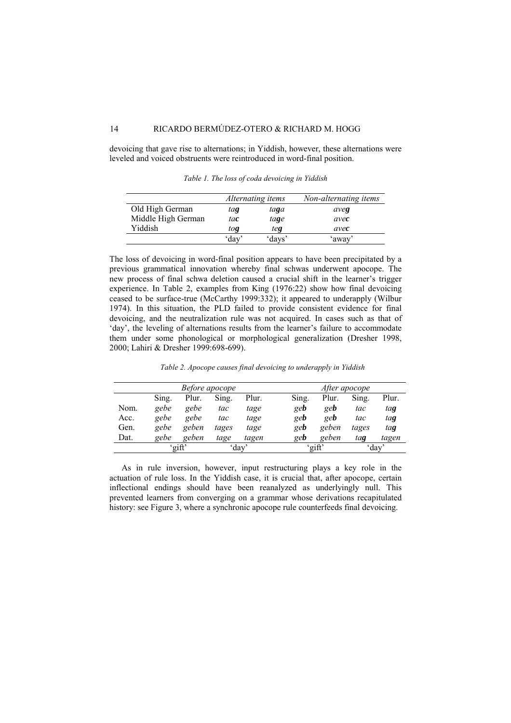devoicing that gave rise to alternations; in Yiddish, however, these alternations were leveled and voiced obstruents were reintroduced in word-final position.

|                    |     | Alternating items | Non-alternating items |
|--------------------|-----|-------------------|-----------------------|
| Old High German    | tag | taga              | aveg                  |
| Middle High German | tac | tage              | avec                  |
| Yiddish            | tog | teg               | avec                  |
|                    | day | 'days'            | away                  |

*Table 1. The loss of coda devoicing in Yiddish* 

The loss of devoicing in word-final position appears to have been precipitated by a previous grammatical innovation whereby final schwas underwent apocope. The new process of final schwa deletion caused a crucial shift in the learner's trigger experience. In Table 2, examples from King (1976:22) show how final devoicing ceased to be surface-true (McCarthy 1999:332); it appeared to underapply (Wilbur 1974). In this situation, the PLD failed to provide consistent evidence for final devoicing, and the neutralization rule was not acquired. In cases such as that of 'day', the leveling of alternations results from the learner's failure to accommodate them under some phonological or morphological generalization (Dresher 1998, 2000; Lahiri & Dresher 1999:698-699).

*Table 2. Apocope causes final devoicing to underapply in Yiddish* 

|      | <i>Before apocope</i> |        |       |       |       | After apocope |       |       |  |
|------|-----------------------|--------|-------|-------|-------|---------------|-------|-------|--|
|      | Sing.                 | Plur.  | Sing. | Plur. | Sing. | Plur.         | Sing. | Plur. |  |
| Nom. | gebe                  | gebe   | tac   | tage  | geb   | geb           | tac   | tag   |  |
| Acc. | gebe                  | gebe   | tac   | tage  | geb   | geb           | tac   | tag   |  |
| Gen. | gebe                  | geben  | tages | tage  | geb   | geben         | tages | tag   |  |
| Dat. | gebe                  | geben  | tage  | tagen | geb   | geben         | tag   | tagen |  |
|      |                       | 'gift' |       | 'day' |       | 'gift'        | 'day  |       |  |

As in rule inversion, however, input restructuring plays a key role in the actuation of rule loss. In the Yiddish case, it is crucial that, after apocope, certain inflectional endings should have been reanalyzed as underlyingly null. This prevented learners from converging on a grammar whose derivations recapitulated history: see Figure 3, where a synchronic apocope rule counterfeeds final devoicing.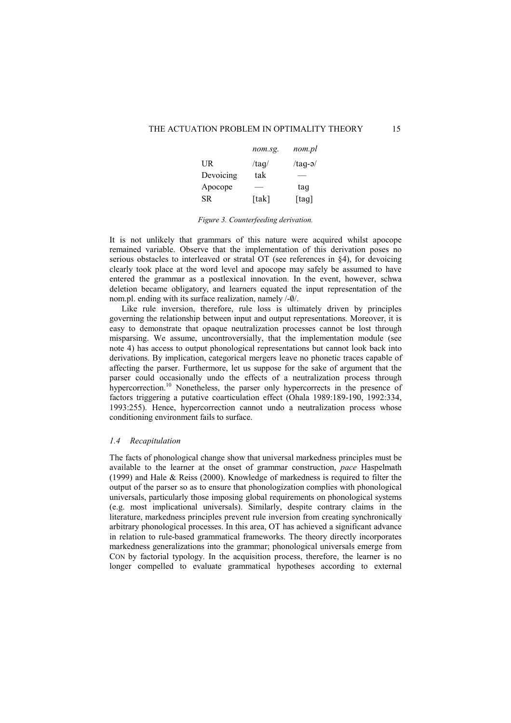# THE ACTUATION PROBLEM IN OPTIMALITY THEORY 15

|           | nom.sg.                    | nom.pl              |
|-----------|----------------------------|---------------------|
| UR        | /tag/                      | $/$ tag-ə $/$       |
| Devoicing | tak                        |                     |
| Apocope   |                            | taq                 |
| SR.       | $\lceil \text{tak} \rceil$ | $\lceil \text{tag}$ |

*Figure 3. Counterfeeding derivation.* 

It is not unlikely that grammars of this nature were acquired whilst apocope remained variable. Observe that the implementation of this derivation poses no serious obstacles to interleaved or stratal OT (see references in ß4), for devoicing clearly took place at the word level and apocope may safely be assumed to have entered the grammar as a postlexical innovation. In the event, however, schwa deletion became obligatory, and learners equated the input representation of the nom.pl. ending with its surface realization, namely  $\frac{1}{9}$ .

Like rule inversion, therefore, rule loss is ultimately driven by principles governing the relationship between input and output representations. Moreover, it is easy to demonstrate that opaque neutralization processes cannot be lost through misparsing. We assume, uncontroversially, that the implementation module (see note 4) has access to output phonological representations but cannot look back into derivations. By implication, categorical mergers leave no phonetic traces capable of affecting the parser. Furthermore, let us suppose for the sake of argument that the parser could occasionally undo the effects of a neutralization process through hypercorrection.<sup>10</sup> Nonetheless, the parser only hypercorrects in the presence of factors triggering a putative coarticulation effect (Ohala 1989:189-190, 1992:334, 1993:255). Hence, hypercorrection cannot undo a neutralization process whose conditioning environment fails to surface.

#### *1.4 Recapitulation*

The facts of phonological change show that universal markedness principles must be available to the learner at the onset of grammar construction, *pace* Haspelmath (1999) and Hale & Reiss (2000). Knowledge of markedness is required to filter the output of the parser so as to ensure that phonologization complies with phonological universals, particularly those imposing global requirements on phonological systems (e.g. most implicational universals). Similarly, despite contrary claims in the literature, markedness principles prevent rule inversion from creating synchronically arbitrary phonological processes. In this area, OT has achieved a significant advance in relation to rule-based grammatical frameworks. The theory directly incorporates markedness generalizations into the grammar; phonological universals emerge from CON by factorial typology. In the acquisition process, therefore, the learner is no longer compelled to evaluate grammatical hypotheses according to external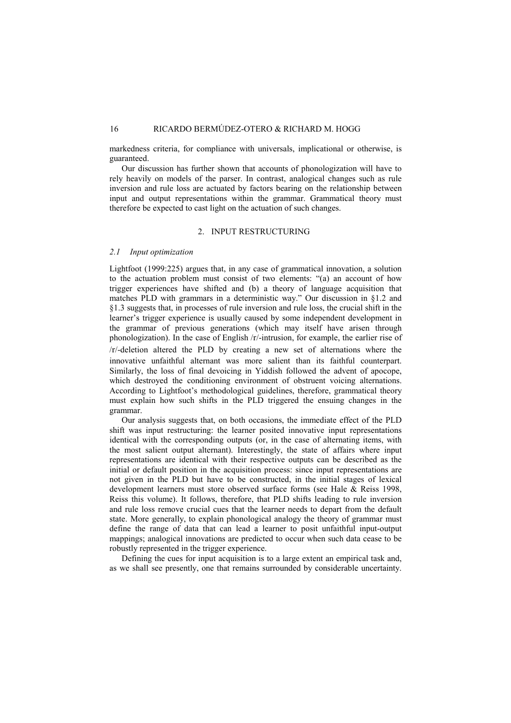markedness criteria, for compliance with universals, implicational or otherwise, is guaranteed.

Our discussion has further shown that accounts of phonologization will have to rely heavily on models of the parser. In contrast, analogical changes such as rule inversion and rule loss are actuated by factors bearing on the relationship between input and output representations within the grammar. Grammatical theory must therefore be expected to cast light on the actuation of such changes.

## 2. INPUT RESTRUCTURING

#### *2.1 Input optimization*

Lightfoot (1999:225) argues that, in any case of grammatical innovation, a solution to the actuation problem must consist of two elements:  $\cdot$ (a) an account of how trigger experiences have shifted and (b) a theory of language acquisition that matches PLD with grammars in a deterministic way." Our discussion in §1.2 and ß1.3 suggests that, in processes of rule inversion and rule loss, the crucial shift in the learner's trigger experience is usually caused by some independent development in the grammar of previous generations (which may itself have arisen through phonologization). In the case of English /r/-intrusion, for example, the earlier rise of /r/-deletion altered the PLD by creating a new set of alternations where the innovative unfaithful alternant was more salient than its faithful counterpart. Similarly, the loss of final devoicing in Yiddish followed the advent of apocope, which destroyed the conditioning environment of obstruent voicing alternations. According to Lightfoot's methodological guidelines, therefore, grammatical theory must explain how such shifts in the PLD triggered the ensuing changes in the grammar.

Our analysis suggests that, on both occasions, the immediate effect of the PLD shift was input restructuring: the learner posited innovative input representations identical with the corresponding outputs (or, in the case of alternating items, with the most salient output alternant). Interestingly, the state of affairs where input representations are identical with their respective outputs can be described as the initial or default position in the acquisition process: since input representations are not given in the PLD but have to be constructed, in the initial stages of lexical development learners must store observed surface forms (see Hale & Reiss 1998, Reiss this volume). It follows, therefore, that PLD shifts leading to rule inversion and rule loss remove crucial cues that the learner needs to depart from the default state. More generally, to explain phonological analogy the theory of grammar must define the range of data that can lead a learner to posit unfaithful input-output mappings; analogical innovations are predicted to occur when such data cease to be robustly represented in the trigger experience.

Defining the cues for input acquisition is to a large extent an empirical task and, as we shall see presently, one that remains surrounded by considerable uncertainty.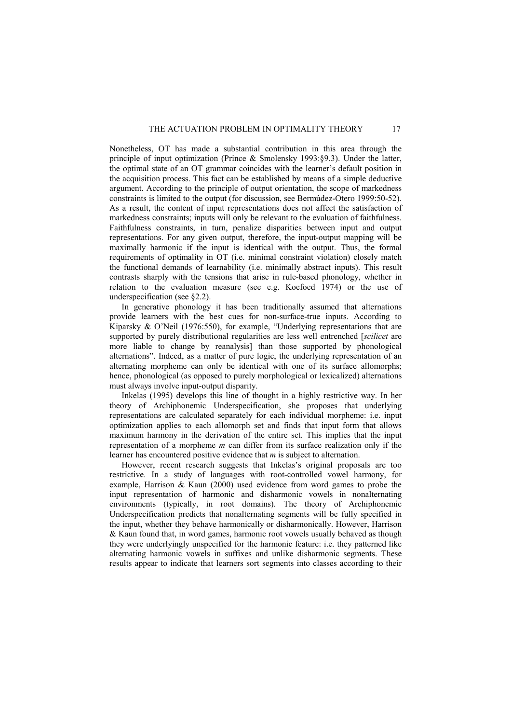Nonetheless, OT has made a substantial contribution in this area through the principle of input optimization (Prince  $\&$  Smolensky 1993:§9.3). Under the latter, the optimal state of an OT grammar coincides with the learner's default position in the acquisition process. This fact can be established by means of a simple deductive argument. According to the principle of output orientation, the scope of markedness constraints is limited to the output (for discussion, see Bermudez-Otero 1999:50-52). As a result, the content of input representations does not affect the satisfaction of markedness constraints; inputs will only be relevant to the evaluation of faithfulness. Faithfulness constraints, in turn, penalize disparities between input and output representations. For any given output, therefore, the input-output mapping will be maximally harmonic if the input is identical with the output. Thus, the formal requirements of optimality in OT (i.e. minimal constraint violation) closely match the functional demands of learnability (i.e. minimally abstract inputs). This result contrasts sharply with the tensions that arise in rule-based phonology, whether in relation to the evaluation measure (see e.g. Koefoed 1974) or the use of underspecification (see ß2.2).

In generative phonology it has been traditionally assumed that alternations provide learners with the best cues for non-surface-true inputs. According to Kiparsky & O'Neil (1976:550), for example, "Underlying representations that are supported by purely distributional regularities are less well entrenched [*scilicet* are more liable to change by reanalysis] than those supported by phonological alternations". Indeed, as a matter of pure logic, the underlying representation of an alternating morpheme can only be identical with one of its surface allomorphs; hence, phonological (as opposed to purely morphological or lexicalized) alternations must always involve input-output disparity.

Inkelas (1995) develops this line of thought in a highly restrictive way. In her theory of Archiphonemic Underspecification, she proposes that underlying representations are calculated separately for each individual morpheme: i.e. input optimization applies to each allomorph set and finds that input form that allows maximum harmony in the derivation of the entire set. This implies that the input representation of a morpheme *m* can differ from its surface realization only if the learner has encountered positive evidence that *m* is subject to alternation.

However, recent research suggests that Inkelas's original proposals are too restrictive. In a study of languages with root-controlled vowel harmony, for example, Harrison & Kaun (2000) used evidence from word games to probe the input representation of harmonic and disharmonic vowels in nonalternating environments (typically, in root domains). The theory of Archiphonemic Underspecification predicts that nonalternating segments will be fully specified in the input, whether they behave harmonically or disharmonically. However, Harrison & Kaun found that, in word games, harmonic root vowels usually behaved as though they were underlyingly unspecified for the harmonic feature: i.e. they patterned like alternating harmonic vowels in suffixes and unlike disharmonic segments. These results appear to indicate that learners sort segments into classes according to their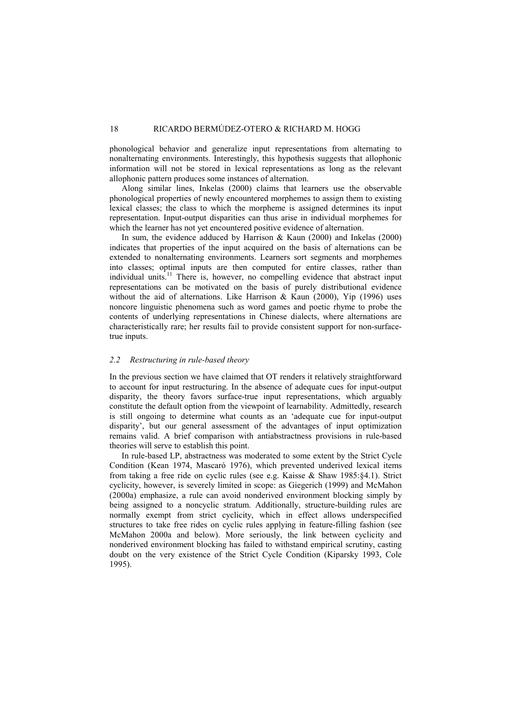phonological behavior and generalize input representations from alternating to nonalternating environments. Interestingly, this hypothesis suggests that allophonic information will not be stored in lexical representations as long as the relevant allophonic pattern produces some instances of alternation.

Along similar lines, Inkelas (2000) claims that learners use the observable phonological properties of newly encountered morphemes to assign them to existing lexical classes; the class to which the morpheme is assigned determines its input representation. Input-output disparities can thus arise in individual morphemes for which the learner has not yet encountered positive evidence of alternation.

In sum, the evidence adduced by Harrison & Kaun (2000) and Inkelas (2000) indicates that properties of the input acquired on the basis of alternations can be extended to nonalternating environments. Learners sort segments and morphemes into classes; optimal inputs are then computed for entire classes, rather than individual units.<sup>11</sup> There is, however, no compelling evidence that abstract input representations can be motivated on the basis of purely distributional evidence without the aid of alternations. Like Harrison  $\&$  Kaun (2000), Yip (1996) uses noncore linguistic phenomena such as word games and poetic rhyme to probe the contents of underlying representations in Chinese dialects, where alternations are characteristically rare; her results fail to provide consistent support for non-surfacetrue inputs.

#### *2.2 Restructuring in rule-based theory*

In the previous section we have claimed that OT renders it relatively straightforward to account for input restructuring. In the absence of adequate cues for input-output disparity, the theory favors surface-true input representations, which arguably constitute the default option from the viewpoint of learnability. Admittedly, research is still ongoing to determine what counts as an ëadequate cue for input-output disparity', but our general assessment of the advantages of input optimization remains valid. A brief comparison with antiabstractness provisions in rule-based theories will serve to establish this point.

In rule-based LP, abstractness was moderated to some extent by the Strict Cycle Condition (Kean 1974, Mascaró 1976), which prevented underived lexical items from taking a free ride on cyclic rules (see e.g. Kaisse & Shaw 1985:ß4.1). Strict cyclicity, however, is severely limited in scope: as Giegerich (1999) and McMahon (2000a) emphasize, a rule can avoid nonderived environment blocking simply by being assigned to a noncyclic stratum. Additionally, structure-building rules are normally exempt from strict cyclicity, which in effect allows underspecified structures to take free rides on cyclic rules applying in feature-filling fashion (see McMahon 2000a and below). More seriously, the link between cyclicity and nonderived environment blocking has failed to withstand empirical scrutiny, casting doubt on the very existence of the Strict Cycle Condition (Kiparsky 1993, Cole 1995).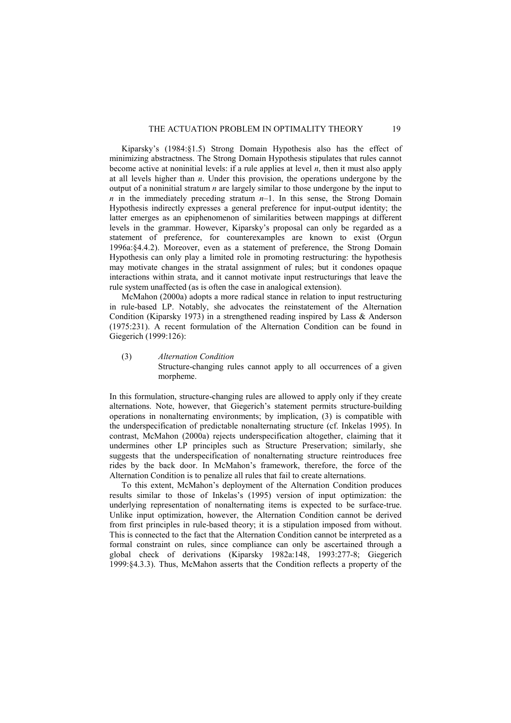Kiparsky's  $(1984:§1.5)$  Strong Domain Hypothesis also has the effect of minimizing abstractness. The Strong Domain Hypothesis stipulates that rules cannot become active at noninitial levels: if a rule applies at level  $n$ , then it must also apply at all levels higher than *n*. Under this provision, the operations undergone by the output of a noninitial stratum *n* are largely similar to those undergone by the input to *n* in the immediately preceding stratum  $n-1$ . In this sense, the Strong Domain Hypothesis indirectly expresses a general preference for input-output identity; the latter emerges as an epiphenomenon of similarities between mappings at different levels in the grammar. However, Kiparsky's proposal can only be regarded as a statement of preference, for counterexamples are known to exist (Orgun 1996a:ß4.4.2). Moreover, even as a statement of preference, the Strong Domain Hypothesis can only play a limited role in promoting restructuring: the hypothesis may motivate changes in the stratal assignment of rules; but it condones opaque interactions within strata, and it cannot motivate input restructurings that leave the rule system unaffected (as is often the case in analogical extension).

McMahon (2000a) adopts a more radical stance in relation to input restructuring in rule-based LP. Notably, she advocates the reinstatement of the Alternation Condition (Kiparsky 1973) in a strengthened reading inspired by Lass & Anderson (1975:231). A recent formulation of the Alternation Condition can be found in Giegerich (1999:126):

# (3) *Alternation Condition*  Structure-changing rules cannot apply to all occurrences of a given morpheme.

In this formulation, structure-changing rules are allowed to apply only if they create alternations. Note, however, that Giegerich's statement permits structure-building operations in nonalternating environments; by implication, (3) is compatible with the underspecification of predictable nonalternating structure (cf. Inkelas 1995). In contrast, McMahon (2000a) rejects underspecification altogether, claiming that it undermines other LP principles such as Structure Preservation; similarly, she suggests that the underspecification of nonalternating structure reintroduces free rides by the back door. In McMahon's framework, therefore, the force of the Alternation Condition is to penalize all rules that fail to create alternations.

To this extent, McMahon's deployment of the Alternation Condition produces results similar to those of Inkelas's (1995) version of input optimization: the underlying representation of nonalternating items is expected to be surface-true. Unlike input optimization, however, the Alternation Condition cannot be derived from first principles in rule-based theory; it is a stipulation imposed from without. This is connected to the fact that the Alternation Condition cannot be interpreted as a formal constraint on rules, since compliance can only be ascertained through a global check of derivations (Kiparsky 1982a:148, 1993:277-8; Giegerich 1999:ß4.3.3). Thus, McMahon asserts that the Condition reflects a property of the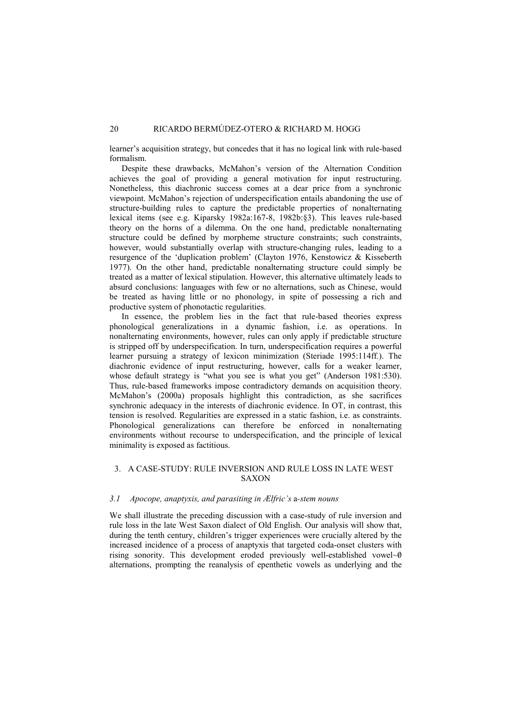learner's acquisition strategy, but concedes that it has no logical link with rule-based formalism.

Despite these drawbacks, McMahon's version of the Alternation Condition achieves the goal of providing a general motivation for input restructuring. Nonetheless, this diachronic success comes at a dear price from a synchronic viewpoint. McMahon's rejection of underspecification entails abandoning the use of structure-building rules to capture the predictable properties of nonalternating lexical items (see e.g. Kiparsky 1982a:167-8, 1982b:ß3). This leaves rule-based theory on the horns of a dilemma. On the one hand, predictable nonalternating structure could be defined by morpheme structure constraints; such constraints, however, would substantially overlap with structure-changing rules, leading to a resurgence of the 'duplication problem' (Clayton 1976, Kenstowicz & Kisseberth 1977). On the other hand, predictable nonalternating structure could simply be treated as a matter of lexical stipulation. However, this alternative ultimately leads to absurd conclusions: languages with few or no alternations, such as Chinese, would be treated as having little or no phonology, in spite of possessing a rich and productive system of phonotactic regularities.

In essence, the problem lies in the fact that rule-based theories express phonological generalizations in a dynamic fashion, i.e. as operations. In nonalternating environments, however, rules can only apply if predictable structure is stripped off by underspecification. In turn, underspecification requires a powerful learner pursuing a strategy of lexicon minimization (Steriade 1995:114ff.). The diachronic evidence of input restructuring, however, calls for a weaker learner, whose default strategy is "what you see is what you get" (Anderson 1981:530). Thus, rule-based frameworks impose contradictory demands on acquisition theory. McMahon's (2000a) proposals highlight this contradiction, as she sacrifices synchronic adequacy in the interests of diachronic evidence. In OT, in contrast, this tension is resolved. Regularities are expressed in a static fashion, i.e. as constraints. Phonological generalizations can therefore be enforced in nonalternating environments without recourse to underspecification, and the principle of lexical minimality is exposed as factitious.

# 3. A CASE-STUDY: RULE INVERSION AND RULE LOSS IN LATE WEST SAXON

# *3.1 Apocope, anaptyxis, and parasiting in Ælfricís* a*-stem nouns*

We shall illustrate the preceding discussion with a case-study of rule inversion and rule loss in the late West Saxon dialect of Old English. Our analysis will show that, during the tenth century, children's trigger experiences were crucially altered by the increased incidence of a process of anaptyxis that targeted coda-onset clusters with rising sonority. This development eroded previously well-established vowel~0/ alternations, prompting the reanalysis of epenthetic vowels as underlying and the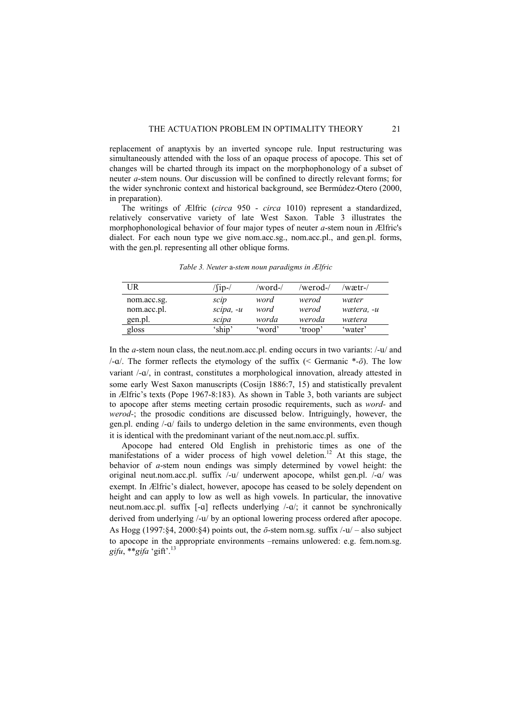replacement of anaptyxis by an inverted syncope rule. Input restructuring was simultaneously attended with the loss of an opaque process of apocope. This set of changes will be charted through its impact on the morphophonology of a subset of neuter *a*-stem nouns. Our discussion will be confined to directly relevant forms; for the wider synchronic context and historical background, see Bermúdez-Otero (2000, in preparation).

The writings of Ælfric (*circa* 950 - *circa* 1010) represent a standardized, relatively conservative variety of late West Saxon. Table 3 illustrates the morphophonological behavior of four major types of neuter *a*-stem noun in Ælfric's dialect. For each noun type we give nom.acc.sg., nom.acc.pl., and gen.pl. forms, with the gen.pl. representing all other oblique forms.

| UR          | $/$ ip- $/$    | /word-/ | /werod-/ | $/wætr-$   |
|-------------|----------------|---------|----------|------------|
| nom.acc.sg. | scip           | word    | werod    | wæter      |
| nom.acc.pl. | $scipa$ , $-u$ | word    | werod    | wætera, -u |
| gen.pl.     | scipa          | worda   | weroda   | wætera     |

gloss 
ship' 
"word' 
"
troop' 
"
water'

*Table 3. Neuter* a*-stem noun paradigms in Ælfric* 

In the *a*-stem noun class, the neut.nom.acc.pl. ending occurs in two variants: /-u/ and  $/-a/$ . The former reflects the etymology of the suffix (< Germanic  $*-\bar{o}$ ). The low variant  $\ell$ - $\alpha$ , in contrast, constitutes a morphological innovation, already attested in some early West Saxon manuscripts (Cosijn 1886:7, 15) and statistically prevalent in Ælfric's texts (Pope 1967-8:183). As shown in Table 3, both variants are subject to apocope after stems meeting certain prosodic requirements, such as *word-* and *werod-*; the prosodic conditions are discussed below. Intriguingly, however, the gen.pl. ending /-A/ fails to undergo deletion in the same environments, even though it is identical with the predominant variant of the neut.nom.acc.pl. suffix.

Apocope had entered Old English in prehistoric times as one of the manifestations of a wider process of high vowel deletion.<sup>12</sup> At this stage, the behavior of *a*-stem noun endings was simply determined by vowel height: the original neut.nom.acc.pl. suffix /-u/ underwent apocope, whilst gen.pl. /-a/ was exempt. In Ælfric's dialect, however, apocope has ceased to be solely dependent on height and can apply to low as well as high vowels. In particular, the innovative neut.nom.acc.pl. suffix  $[-a]$  reflects underlying  $\overline{A}$ ; it cannot be synchronically derived from underlying /-u/ by an optional lowering process ordered after apocope. As Hogg (1997:§4, 2000:§4) points out, the  $\bar{\sigma}$ -stem nom.sg. suffix /-u/ – also subject to apocope in the appropriate environments  $-$ remains unlowered: e.g. fem.nom.sg.  $g$ *ifu*, \*\* $g$ *ifa* 'gift'.<sup>13</sup>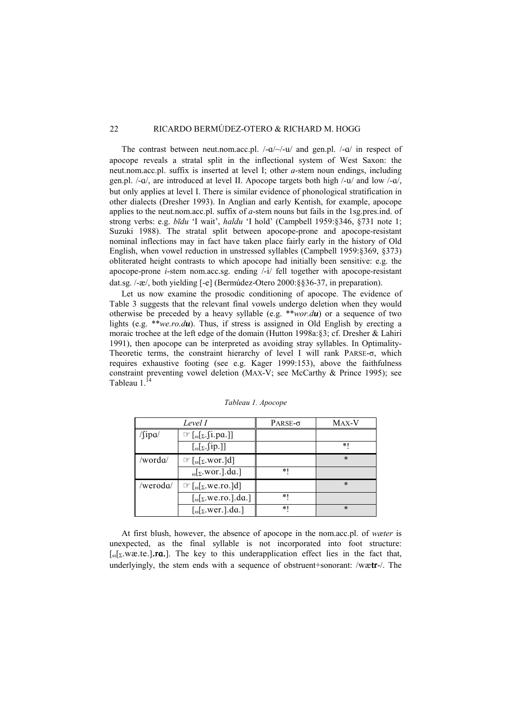The contrast between neut.nom.acc.pl.  $\frac{A}{A}$ - $\frac{A}{A}$  and gen.pl.  $\frac{A}{A}$  in respect of apocope reveals a stratal split in the inflectional system of West Saxon: the neut.nom.acc.pl. suffix is inserted at level I; other *a*-stem noun endings, including gen.pl. /-a/, are introduced at level II. Apocope targets both high /-u/ and low /-a/, but only applies at level I. There is similar evidence of phonological stratification in other dialects (Dresher 1993). In Anglian and early Kentish, for example, apocope applies to the neut.nom.acc.pl. suffix of *a*-stem nouns but fails in the 1sg.pres.ind. of strong verbs: e.g. *bīdu* 'I wait', *haldu* 'I hold' (Campbell 1959:§346, §731 note 1; Suzuki 1988). The stratal split between apocope-prone and apocope-resistant nominal inflections may in fact have taken place fairly early in the history of Old English, when vowel reduction in unstressed syllables (Campbell 1959:§369, §373) obliterated height contrasts to which apocope had initially been sensitive: e.g. the apocope-prone *i*-stem nom.acc.sg. ending /-i/ fell together with apocope-resistant dat.sg.  $/-x$ , both yielding  $[-e]$  (Bermúdez-Otero 2000:§§36-37, in preparation).

Let us now examine the prosodic conditioning of apocope. The evidence of Table 3 suggests that the relevant final vowels undergo deletion when they would otherwise be preceded by a heavy syllable (e.g. \*\**wor.du*) or a sequence of two lights (e.g. \*\**we.ro.du*). Thus, if stress is assigned in Old English by erecting a moraic trochee at the left edge of the domain (Hutton 1998a:ß3; cf. Dresher & Lahiri 1991), then apocope can be interpreted as avoiding stray syllables. In Optimality-Theoretic terms, the constraint hierarchy of level I will rank PARSE-σ, which requires exhaustive footing (see e.g. Kager 1999:153), above the faithfulness constraint preventing vowel deletion (MAX-V; see McCarthy & Prince 1995); see Tableau 1.

|             | Level I                                                                                  | $PARSE-σ$ | MAX-V  |
|-------------|------------------------------------------------------------------------------------------|-----------|--------|
| $\int$ ipa/ | $\mathcal{F}[\mathcal{D}[\Sigma,\mathcal{G}]$ .pa.]]                                     |           |        |
|             | $\left[\begin{smallmatrix}\n\infty & \infty \\ \infty & \infty \end{smallmatrix}\right]$ |           | *1     |
| /worda/     | $\mathcal{F}[\mathcal{L}_0[\Sigma, \text{wor.}]d]$                                       |           | $\ast$ |
|             | $_{\omega}$ [ <sub>2</sub> .wor.].da.]                                                   | $*1$      |        |
| /weroda/    | $\mathcal{F}[\mathcal{L}_0[\Sigma, \text{we}.\text{ro.}]d]$                              |           | $\ast$ |
|             | $\lceil_{\omega} \lceil_{\Sigma}$ we.ro.].da.]                                           | $*1$      |        |
|             | $\lceil_{\omega} \lceil_{\Sigma}$ wer. ].da.]                                            | $*1$      | $\ast$ |

#### *Tableau 1. Apocope*

At first blush, however, the absence of apocope in the nom.acc.pl. of *weter* is unexpected, as the final syllable is not incorporated into foot structure:  $\int_{\omega}$ [ $\sum$ ]. We at e. | **.rg.**]. The key to this underapplication effect lies in the fact that, underlyingly, the stem ends with a sequence of obstruent+sonorant: /w $\mathcal{X}$ tr-/. The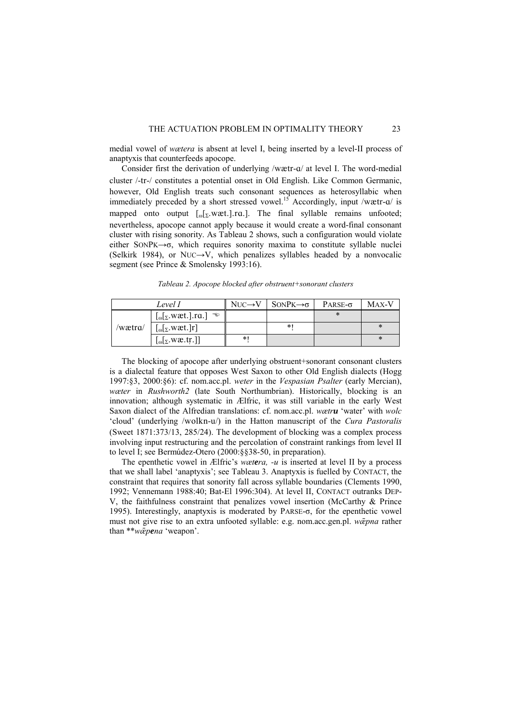medial vowel of *watera* is absent at level I, being inserted by a level-II process of anaptyxis that counterfeeds apocope.

Consider first the derivation of underlying /wætr-a/ at level I. The word-medial cluster /-tr-/ constitutes a potential onset in Old English. Like Common Germanic, however, Old English treats such consonant sequences as heterosyllabic when immediately preceded by a short stressed vowel.<sup>15</sup> Accordingly, input /wætr- $a$ / is mapped onto output  $\left[\begin{array}{cc} \alpha & \beta \\ \alpha & \beta \end{array}\right]$ . The final syllable remains unfooted; nevertheless, apocope cannot apply because it would create a word-final consonant cluster with rising sonority. As Tableau 2 shows, such a configuration would violate either SONPK $\rightarrow$   $\sigma$ , which requires sonority maxima to constitute syllable nuclei (Selkirk 1984), or NUC $\rightarrow$ V, which penalizes syllables headed by a nonvocalic segment (see Prince & Smolensky 1993:16).

| Level I |                                                                                                                                | $NUC \rightarrow V$ | SONPK $\rightarrow$ | PARSE- $\sigma$ | MAX-V |
|---------|--------------------------------------------------------------------------------------------------------------------------------|---------------------|---------------------|-----------------|-------|
|         | $\lbrack_{\omega}$ [ <sub>2</sub> .wæt.].ra.] $\Rightarrow$                                                                    |                     |                     |                 |       |
| /wætra/ | $\left[\Omega_{\mathcal{D}}\left[\Sigma\mathbf{.}\right]\right]$                                                               |                     | $*$                 |                 |       |
|         | $\left[\begin{smallmatrix} 0 \\ 0 \end{smallmatrix}\right]\left[\begin{smallmatrix} 0 \\ 2 \end{smallmatrix}\right]$ . wæ.tr.] | $*1$                |                     |                 |       |

*Tableau 2. Apocope blocked after obstruent+sonorant clusters* 

The blocking of apocope after underlying obstruent+sonorant consonant clusters is a dialectal feature that opposes West Saxon to other Old English dialects (Hogg 1997:ß3, 2000:ß6): cf. nom.acc.pl. *weter* in the *Vespasian Psalter* (early Mercian), *weter* in *Rushworth2* (late South Northumbrian). Historically, blocking is an innovation; although systematic in Ælfric, it was still variable in the early West Saxon dialect of the Alfredian translations: cf. nom.acc.pl. *wætru* 'water' with *wolc* 'cloud' (underlying /wolkn-u/) in the Hatton manuscript of the *Cura Pastoralis* (Sweet 1871:373/13, 285/24). The development of blocking was a complex process involving input restructuring and the percolation of constraint rankings from level II to level I; see Bermúdez-Otero (2000: §§38-50, in preparation).

The epenthetic vowel in *Ælfric's wætera, -u* is inserted at level II by a process that we shall label ëanaptyxisí; see Tableau 3. Anaptyxis is fuelled by CONTACT, the constraint that requires that sonority fall across syllable boundaries (Clements 1990, 1992; Vennemann 1988:40; Bat-El 1996:304). At level II, CONTACT outranks DEP-V, the faithfulness constraint that penalizes vowel insertion (McCarthy & Prince 1995). Interestingly, anaptyxis is moderated by PARSE-σ, for the epenthetic vowel must not give rise to an extra unfooted syllable: e.g. nom.acc.gen.pl. *w* $\bar{e}$ *pna* rather than \*\**w* $\bar{e}$ *pena* 'weapon'.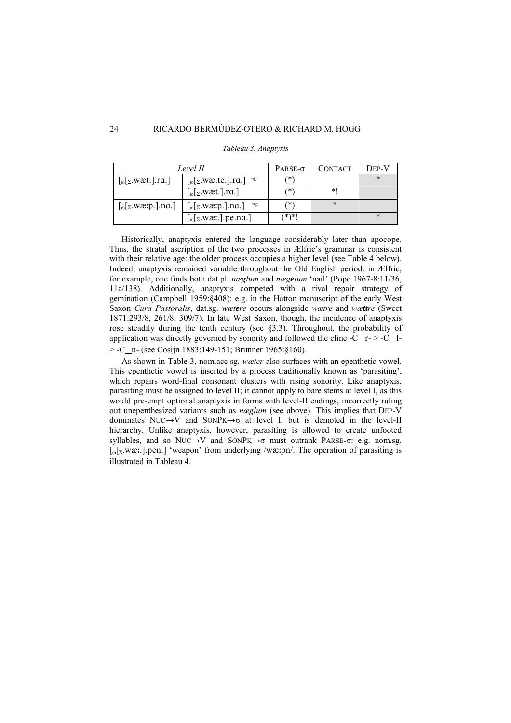| Level II                                                   | PARSE- $\sigma$                                                                                  | <b>CONTACT</b> | DEP-V |        |
|------------------------------------------------------------|--------------------------------------------------------------------------------------------------|----------------|-------|--------|
| $\lceil_{\omega} \lceil_{\Sigma}$ .wæt.].ra.]              | $\lceil_{\omega} \lceil_{\Sigma}$ .wæ.te.].ra.] $\mathcal{D}$                                    | (*)            |       | $\ast$ |
|                                                            | $\lceil_{\omega} \lceil_{\Sigma}$ was t.   .ra.                                                  | (*`            | *1    |        |
| $\lceil_{\omega} \lceil_{\Sigma} w \mathfrak{X}$ :p.].na.] | $\left[\begin{smallmatrix} 0 \\ 0 \end{smallmatrix}\right]$ [ $\Omega$ . Waxip. ] .na.]<br>ಇಾ    | (*`            | *     |        |
|                                                            | $\left[\begin{smallmatrix} 0 \\ 0 \end{smallmatrix}\right]$ [ $\infty$ W $\infty$ : .] . pe.na.] | ′*)*l          |       | $\ast$ |

#### *Tableau 3. Anaptyxis*

Historically, anaptyxis entered the language considerably later than apocope. Thus, the stratal ascription of the two processes in Ælfric's grammar is consistent with their relative age: the older process occupies a higher level (see Table 4 below). Indeed, anaptyxis remained variable throughout the Old English period: in Ælfric, for example, one finds both dat.pl. *næglum* and *nægelum* 'nail' (Pope 1967-8:11/36, 11a/138). Additionally, anaptyxis competed with a rival repair strategy of gemination (Campbell 1959:ß408): e.g. in the Hatton manuscript of the early West Saxon *Cura Pastoralis*, dat.sg. *wætere* occurs alongside *wætre* and *wættre* (Sweet 1871:293/8, 261/8, 309/7). In late West Saxon, though, the incidence of anaptyxis rose steadily during the tenth century (see ß3.3). Throughout, the probability of application was directly governed by sonority and followed the cline  $-C_r$  -  $\ge$  -C<sub>1</sub>  $>$  -C\_n- (see Cosijn 1883:149-151; Brunner 1965:§160).

As shown in Table 3, nom.acc.sg. *weter* also surfaces with an epenthetic vowel. This epenthetic vowel is inserted by a process traditionally known as 'parasiting', which repairs word-final consonant clusters with rising sonority. Like anaptyxis, parasiting must be assigned to level II; it cannot apply to bare stems at level I, as this would pre-empt optional anaptyxis in forms with level-II endings, incorrectly ruling out unepenthesized variants such as *næglum* (see above). This implies that DEP-V dominates NUC $\rightarrow$ V and SONPK $\rightarrow$  at level I, but is demoted in the level-II hierarchy. Unlike anaptyxis, however, parasiting is allowed to create unfooted syllables, and so NUC→V and SONPK→σ must outrank PARSE-σ: e.g. nom.sg.  $\int_{\omega}$ [ $\sum$ ].w $\alpha$ °.].pen.] 'weapon' from underlying /w $\alpha$ °pn/. The operation of parasiting is illustrated in Tableau 4.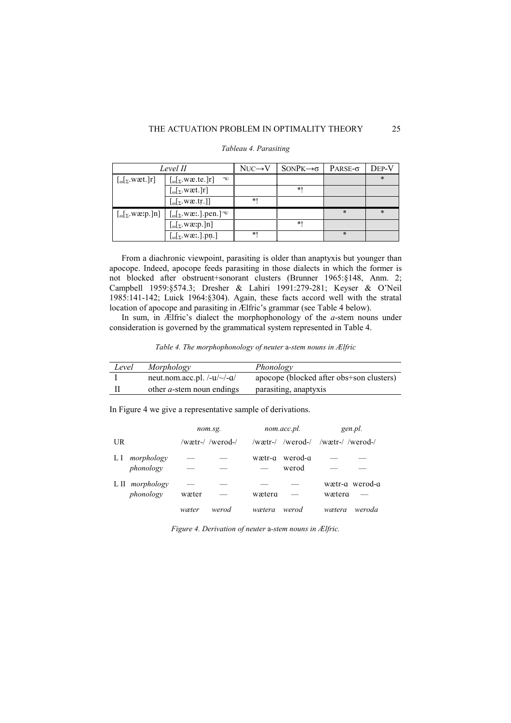|                                                       | Level II                                                                                                                                                                    | $NUC \rightarrow V$ | $SONPK \rightarrow \sigma$ | PARSE- $\sigma$ | DEP-V   |
|-------------------------------------------------------|-----------------------------------------------------------------------------------------------------------------------------------------------------------------------------|---------------------|----------------------------|-----------------|---------|
| $\lceil_{\omega} \lceil_{\Sigma}$ .wæt.]r]            | $\lceil_{\omega} \lceil_{\Sigma}$ wæ.te.   r  <br>ಕಾ                                                                                                                        |                     |                            |                 | $\star$ |
|                                                       | $\left[\Omega_{\mathcal{L}}\right]$ .wæt.]r]                                                                                                                                |                     | $*$                        |                 |         |
|                                                       | $\left[\begin{smallmatrix}\n\alpha & \mathbf{k} & \mathbf{0}\n\end{smallmatrix}\right]$                                                                                     | $*1$                |                            |                 |         |
| $\lceil_{\omega} \lceil_{\Sigma} w \mathbf{x}$ :p.]n] | $\left[\begin{smallmatrix} 0 \\ 0 \end{smallmatrix}\right]$ [ $\infty$ ]. We are 1.] $\infty$                                                                               |                     |                            | $\ast$          | $\ast$  |
|                                                       | $\left[\Omega_{\infty}[\Sigma, \text{Wæ:}p.]n\right]$                                                                                                                       |                     | $*$                        |                 |         |
|                                                       | $\left[\begin{smallmatrix} 0 & \mathbf{X} \\ 0 & \mathbf{X} \end{smallmatrix}$ was , $\left[\begin{smallmatrix} 0 & \mathbf{X} \\ 0 & \mathbf{X} \end{smallmatrix} \right]$ | $*1$                |                            | $\ast$          |         |

#### *Tableau 4. Parasiting*

From a diachronic viewpoint, parasiting is older than anaptyxis but younger than apocope. Indeed, apocope feeds parasiting in those dialects in which the former is not blocked after obstruent+sonorant clusters (Brunner 1965:§148, Anm. 2; Campbell 1959:ß574.3; Dresher & Lahiri 1991:279-281; Keyser & OíNeil 1985:141-142; Luick 1964:ß304). Again, these facts accord well with the stratal location of apocope and parasiting in Ælfric's grammar (see Table 4 below).

In sum, in Ælfric's dialect the morphophonology of the *a*-stem nouns under consideration is governed by the grammatical system represented in Table 4.

*Table 4. The morphophonology of neuter* a*-stem nouns in Ælfric* 

| Level | Morphology                            | Phonology                                |
|-------|---------------------------------------|------------------------------------------|
|       | neut.nom.acc.pl. $\frac{-u}{\sim}$ -a | apocope (blocked after obs+son clusters) |
|       | other $a$ -stem noun endings          | parasiting, anaptyxis                    |

In Figure 4 we give a representative sample of derivations.

|       |                         |       | nom.sg.          |          | nom.acc.pl.      |                        | gen.pl.        |
|-------|-------------------------|-------|------------------|----------|------------------|------------------------|----------------|
| UR    |                         |       | /wætr-/ /werod-/ | $/wætr-$ | /werod- $/$      | $\sqrt{wart}$ /werod-/ |                |
| LI    | morphology<br>phonology |       |                  | wætr-a   | werod-a<br>werod |                        |                |
| L II. | morphology<br>phonology | wæter |                  | wætera   |                  | wætera                 | wætr-a werod-a |
|       |                         | wæter | werod            | wætera   | werod            | wætera                 | weroda         |

*Figure 4. Derivation of neuter* a*-stem nouns in Ælfric.*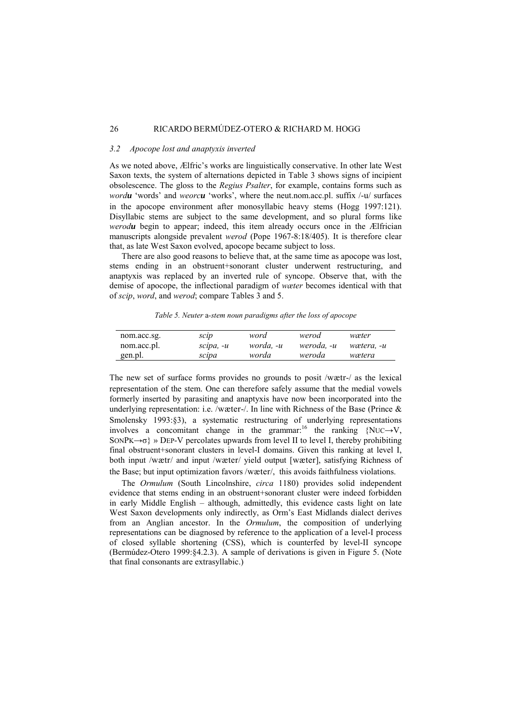#### *3.2 Apocope lost and anaptyxis inverted*

As we noted above, *Ælfric*'s works are linguistically conservative. In other late West Saxon texts, the system of alternations depicted in Table 3 shows signs of incipient obsolescence. The gloss to the *Regius Psalter*, for example, contains forms such as *wordu* 'words' and *weorcu* 'works', where the neut.nom.acc.pl. suffix /-u/ surfaces in the apocope environment after monosyllabic heavy stems (Hogg 1997:121). Disyllabic stems are subject to the same development, and so plural forms like *werodu* begin to appear; indeed, this item already occurs once in the Ælfrician manuscripts alongside prevalent *werod* (Pope 1967-8:18/405). It is therefore clear that, as late West Saxon evolved, apocope became subject to loss.

There are also good reasons to believe that, at the same time as apocope was lost, stems ending in an obstruent+sonorant cluster underwent restructuring, and anaptyxis was replaced by an inverted rule of syncope. Observe that, with the demise of apocope, the inflectional paradigm of *weter* becomes identical with that of *scip*, *word*, and *werod*; compare Tables 3 and 5.

*Table 5. Neuter* a*-stem noun paradigms after the loss of apocope* 

| nom.acc.sg. | scip      | word      | werod      | wæter      |
|-------------|-----------|-----------|------------|------------|
| nom.acc.pl. | scipa, -u | worda, -u | weroda, -u | wætera, -u |
| gen.pl.     | scipa     | worda     | weroda     | wætera     |

The new set of surface forms provides no grounds to posit /w $\&$ tr-/ as the lexical representation of the stem. One can therefore safely assume that the medial vowels formerly inserted by parasiting and anaptyxis have now been incorporated into the underlying representation: i.e. /w $\alpha$ ter-/. In line with Richness of the Base (Prince  $\alpha$ Smolensky 1993:§3), a systematic restructuring of underlying representations involves a concomitant change in the grammar:<sup>16</sup> the ranking {NUC→V, SONPK $\rightarrow$ σ} » DEP-V percolates upwards from level II to level I, thereby prohibiting final obstruent+sonorant clusters in level-I domains. Given this ranking at level I, both input /wætr/ and input /wæter/ yield output [wæter], satisfying Richness of the Base; but input optimization favors /wæter/, this avoids faithfulness violations.

The *Ormulum* (South Lincolnshire, *circa* 1180) provides solid independent evidence that stems ending in an obstruent+sonorant cluster were indeed forbidden in early Middle English  $-$  although, admittedly, this evidence casts light on late West Saxon developments only indirectly, as Orm's East Midlands dialect derives from an Anglian ancestor. In the *Ormulum*, the composition of underlying representations can be diagnosed by reference to the application of a level-I process of closed syllable shortening (CSS), which is counterfed by level-II syncope (Bermúdez-Otero 1999:  $(4.2.3)$ ). A sample of derivations is given in Figure 5. (Note that final consonants are extrasyllabic.)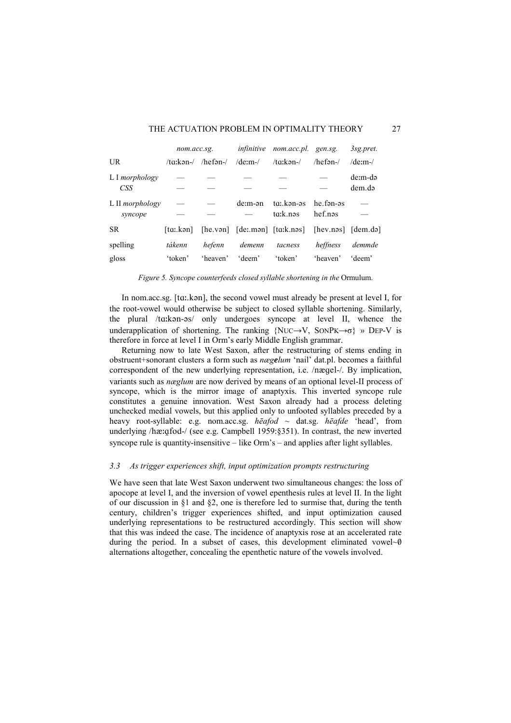# THE ACTUATION PROBLEM IN OPTIMALITY THEORY 27

|                            | nom.acc.sg. |                |               | infinitive nom.acc.pl. gen.sg.                            |                      | 3sg.pret.         |
|----------------------------|-------------|----------------|---------------|-----------------------------------------------------------|----------------------|-------------------|
| UR                         | /tɑːkən-/   | $/hef$ an- $/$ | $/$ de:m- $/$ | /tɑːkən-/                                                 | /hefən-/             | $/$ de:m- $/$     |
| $L$ I morphology<br>CSS    |             |                |               |                                                           |                      | de:m-də<br>dem.də |
| L II morphology<br>syncope |             |                | de:m-ən       | ta: kən-əs<br>ta:k.nəs                                    | he fan-as<br>hef nas |                   |
| <b>SR</b>                  | [tɑː.kən]   |                |               | $[he.von]$ $[de:mon]$ $[ta:k.nos]$ $[hev.nos]$ $[dem.do]$ |                      |                   |
| spelling                   | tákenn      | hefenn         | demenn        | tacness                                                   | heffness             | demmde            |
| gloss                      | 'token'     | 'heaven'       | 'deem'        | 'token'                                                   | 'heaven'             | 'deem'            |

*Figure 5. Syncope counterfeeds closed syllable shortening in the* Ormulum.

In nom.acc.sg. [taː.kən], the second vowel must already be present at level I, for the root-vowel would otherwise be subject to closed syllable shortening. Similarly, the plural /taːkən-əs/ only undergoes syncope at level II, whence the underapplication of shortening. The ranking  ${NUC}\rightarrow V$ , SONPK $\rightarrow \sigma$ } » DEP-V is therefore in force at level I in Orm's early Middle English grammar.

Returning now to late West Saxon, after the restructuring of stems ending in obstruent+sonorant clusters a form such as *nægelum* 'nail' dat.pl. becomes a faithful correspondent of the new underlying representation, i.e.  $/n$  $\alpha$  $q$ el- $/$ . By implication, variants such as *nœglum* are now derived by means of an optional level-II process of syncope, which is the mirror image of anaptyxis. This inverted syncope rule constitutes a genuine innovation. West Saxon already had a process deleting unchecked medial vowels, but this applied only to unfooted syllables preceded by a heavy root-syllable: e.g. nom.acc.sg. *hēafod* ~ dat.sg. *hēafde* ëheadí, from underlying  $/\hbar\alpha$ :gfod-/ (see e.g. Campbell 1959:§351). In contrast, the new inverted syncope rule is quantity-insensitive  $\overline{\phantom{a}}$  like Orm's  $\overline{\phantom{a}}$  and applies after light syllables.

# *3.3 As trigger experiences shift, input optimization prompts restructuring*

We have seen that late West Saxon underwent two simultaneous changes: the loss of apocope at level I, and the inversion of vowel epenthesis rules at level II. In the light of our discussion in  $\S1$  and  $\S2$ , one is therefore led to surmise that, during the tenth century, children's trigger experiences shifted, and input optimization caused underlying representations to be restructured accordingly. This section will show that this was indeed the case. The incidence of anaptyxis rose at an accelerated rate during the period. In a subset of cases, this development eliminated vowel $\sim 0$ alternations altogether, concealing the epenthetic nature of the vowels involved.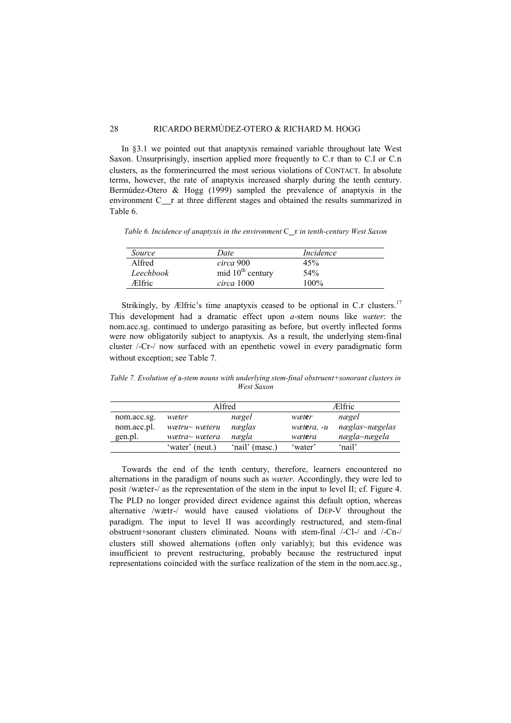In ß3.1 we pointed out that anaptyxis remained variable throughout late West Saxon. Unsurprisingly, insertion applied more frequently to C.r than to C.l or C.n clusters, as the formerincurred the most serious violations of CONTACT. In absolute terms, however, the rate of anaptyxis increased sharply during the tenth century. Berm $i$ dez-Otero & Hogg (1999) sampled the prevalence of anaptyxis in the environment C r at three different stages and obtained the results summarized in Table 6.

*Table 6. Incidence of anaptyxis in the environment* C r *in tenth-century West Saxon* 

| Source    | Date                  | Incidence |  |
|-----------|-----------------------|-----------|--|
| Alfred    | circa 900             | 45%       |  |
| Leechbook | mid $10^{th}$ century | 54%       |  |
| Ælfric    | circa 1000            | $100\%$   |  |

Strikingly, by Ælfric's time anaptyxis ceased to be optional in C.r clusters.<sup>17</sup> This development had a dramatic effect upon  $a$ -stem nouns like *weter*: the nom.acc.sg. continued to undergo parasiting as before, but overtly inflected forms were now obligatorily subject to anaptyxis. As a result, the underlying stem-final cluster /-Cr-/ now surfaced with an epenthetic vowel in every paradigmatic form without exception; see Table 7.

*Table 7. Evolution of* a*-stem nouns with underlying stem-final obstruent+sonorant clusters in West Saxon* 

|             | Alfred         |                | Ælfric     |                |  |
|-------------|----------------|----------------|------------|----------------|--|
| nom.acc.sg. | wæter          | nægel          | wæter      | nægel          |  |
| nom.acc.pl. | wætru~ wæteru  | næglas         | wætera, -u | næglas~nægelas |  |
| gen.pl.     | wætra~ wætera  | nægla          | wætera     | nægla~nægela   |  |
|             | water' (neut.) | 'nail' (masc.) | water'     | 'nail'         |  |

Towards the end of the tenth century, therefore, learners encountered no alternations in the paradigm of nouns such as *weeter*. Accordingly, they were led to posit /wæter-/ as the representation of the stem in the input to level II; cf. Figure 4. The PLD no longer provided direct evidence against this default option, whereas alternative /wætr-/ would have caused violations of DEP-V throughout the paradigm. The input to level II was accordingly restructured, and stem-final obstruent+sonorant clusters eliminated. Nouns with stem-final /-Cl-/ and /-Cn-/ clusters still showed alternations (often only variably); but this evidence was insufficient to prevent restructuring, probably because the restructured input representations coincided with the surface realization of the stem in the nom.acc.sg.,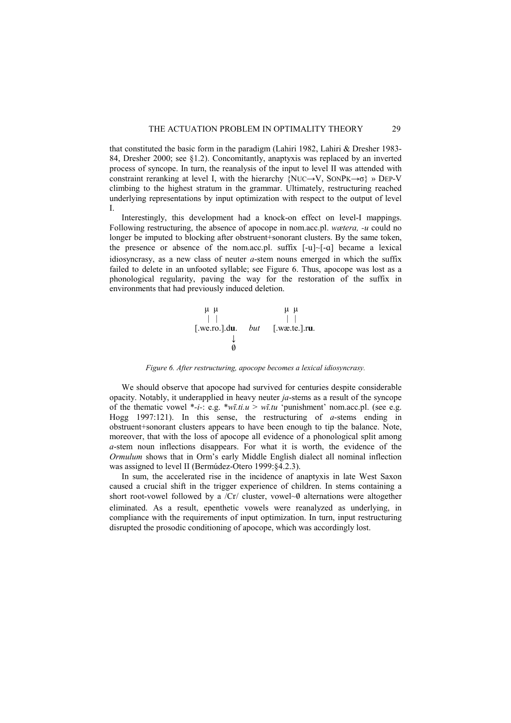that constituted the basic form in the paradigm (Lahiri 1982, Lahiri & Dresher 1983- 84, Dresher 2000; see ß1.2). Concomitantly, anaptyxis was replaced by an inverted process of syncope. In turn, the reanalysis of the input to level II was attended with constraint reranking at level I, with the hierarchy  $\text{NUC}\rightarrow\text{V}$ , SONPK $\rightarrow$ <sub>0</sub> » DEP-V climbing to the highest stratum in the grammar. Ultimately, restructuring reached underlying representations by input optimization with respect to the output of level I.

Interestingly, this development had a knock-on effect on level-I mappings. Following restructuring, the absence of apocope in nom.acc.pl. *wetera*, -u could no longer be imputed to blocking after obstruent+sonorant clusters. By the same token, the presence or absence of the nom.acc.pl. suffix  $[-u] \sim [-a]$  became a lexical idiosyncrasy, as a new class of neuter *a*-stem nouns emerged in which the suffix failed to delete in an unfooted syllable; see Figure 6. Thus, apocope was lost as a phonological regularity, paving the way for the restoration of the suffix in environments that had previously induced deletion.



*Figure 6. After restructuring, apocope becomes a lexical idiosyncrasy.* 

We should observe that apocope had survived for centuries despite considerable opacity. Notably, it underapplied in heavy neuter *ja*-stems as a result of the syncope of the thematic vowel  $*-i$ : e.g.  $*w\bar{t}$ *.ti.u* >  $w\bar{t}$ *.tu* 'punishment' nom.acc.pl. (see e.g. Hogg 1997:121). In this sense, the restructuring of *a*-stems ending in obstruent+sonorant clusters appears to have been enough to tip the balance. Note, moreover, that with the loss of apocope all evidence of a phonological split among *a*-stem noun inflections disappears. For what it is worth, the evidence of the *Ormulum* shows that in Orm's early Middle English dialect all nominal inflection was assigned to level II (Bermúdez-Otero 1999:§4.2.3).

In sum, the accelerated rise in the incidence of anaptyxis in late West Saxon caused a crucial shift in the trigger experience of children. In stems containing a short root-vowel followed by a /Cr/ cluster, vowel~ $\emptyset$  alternations were altogether eliminated. As a result, epenthetic vowels were reanalyzed as underlying, in compliance with the requirements of input optimization. In turn, input restructuring disrupted the prosodic conditioning of apocope, which was accordingly lost.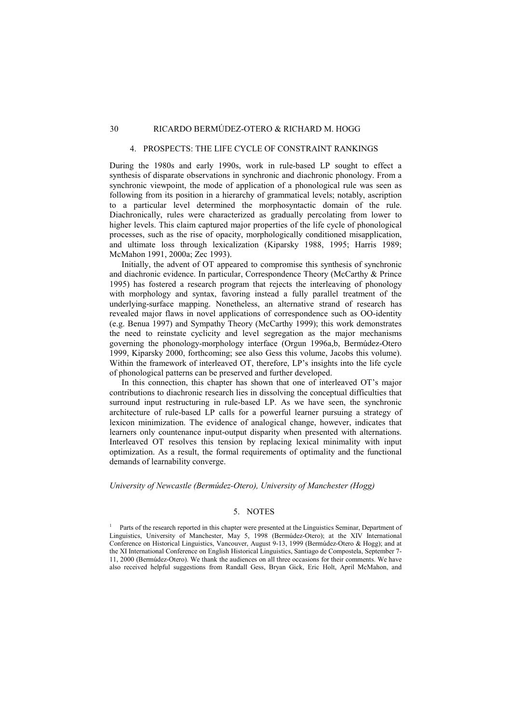#### 4. PROSPECTS: THE LIFE CYCLE OF CONSTRAINT RANKINGS

During the 1980s and early 1990s, work in rule-based LP sought to effect a synthesis of disparate observations in synchronic and diachronic phonology. From a synchronic viewpoint, the mode of application of a phonological rule was seen as following from its position in a hierarchy of grammatical levels; notably, ascription to a particular level determined the morphosyntactic domain of the rule. Diachronically, rules were characterized as gradually percolating from lower to higher levels. This claim captured major properties of the life cycle of phonological processes, such as the rise of opacity, morphologically conditioned misapplication, and ultimate loss through lexicalization (Kiparsky 1988, 1995; Harris 1989; McMahon 1991, 2000a; Zec 1993).

Initially, the advent of OT appeared to compromise this synthesis of synchronic and diachronic evidence. In particular, Correspondence Theory (McCarthy & Prince 1995) has fostered a research program that rejects the interleaving of phonology with morphology and syntax, favoring instead a fully parallel treatment of the underlying-surface mapping. Nonetheless, an alternative strand of research has revealed major flaws in novel applications of correspondence such as OO-identity (e.g. Benua 1997) and Sympathy Theory (McCarthy 1999); this work demonstrates the need to reinstate cyclicity and level segregation as the major mechanisms governing the phonology-morphology interface (Orgun 1996a,b, Bermúdez-Otero 1999, Kiparsky 2000, forthcoming; see also Gess this volume, Jacobs this volume). Within the framework of interleaved OT, therefore, LP's insights into the life cycle of phonological patterns can be preserved and further developed.

In this connection, this chapter has shown that one of interleaved OT's major contributions to diachronic research lies in dissolving the conceptual difficulties that surround input restructuring in rule-based LP. As we have seen, the synchronic architecture of rule-based LP calls for a powerful learner pursuing a strategy of lexicon minimization. The evidence of analogical change, however, indicates that learners only countenance input-output disparity when presented with alternations. Interleaved OT resolves this tension by replacing lexical minimality with input optimization. As a result, the formal requirements of optimality and the functional demands of learnability converge.

# *University of Newcastle (Berm˙dez-Otero), University of Manchester (Hogg)*

#### 5. NOTES

<sup>&</sup>lt;sup>1</sup> Parts of the research reported in this chapter were presented at the Linguistics Seminar, Department of Linguistics, University of Manchester, May 5, 1998 (Berm˙dez-Otero); at the XIV International Conference on Historical Linguistics, Vancouver, August 9-13, 1999 (Bermúdez-Otero & Hogg); and at the XI International Conference on English Historical Linguistics, Santiago de Compostela, September 7- 11, 2000 (Bermúdez-Otero). We thank the audiences on all three occasions for their comments. We have also received helpful suggestions from Randall Gess, Bryan Gick, Eric Holt, April McMahon, and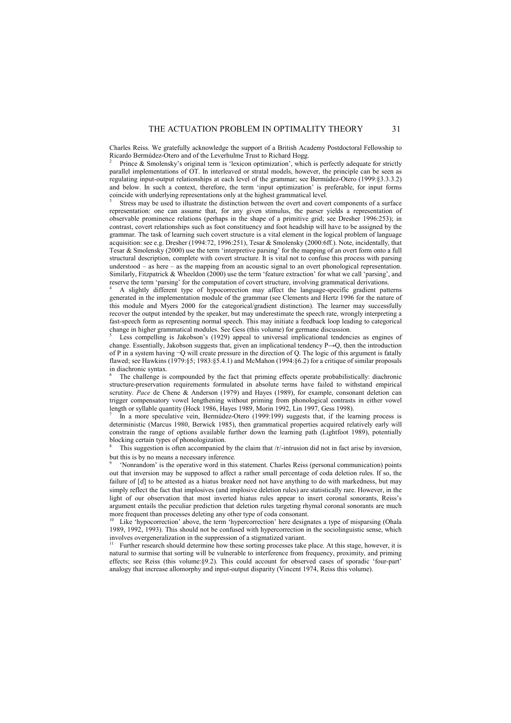Charles Reiss. We gratefully acknowledge the support of a British Academy Postdoctoral Fellowship to Ricardo Bermúdez-Otero and of the Leverhulme Trust to Richard Hogg.

2 Prince & Smolensky's original term is 'lexicon optimization', which is perfectly adequate for strictly parallel implementations of OT. In interleaved or stratal models, however, the principle can be seen as regulating input-output relationships at each level of the grammar; see Bermúdez-Otero (1999:§3.3.3.2) and below. In such a context, therefore, the term 'input optimization' is preferable, for input forms coincide with underlying representations only at the highest grammatical level.

3 Stress may be used to illustrate the distinction between the overt and covert components of a surface representation: one can assume that, for any given stimulus, the parser yields a representation of observable prominence relations (perhaps in the shape of a primitive grid; see Dresher 1996:253); in contrast, covert relationships such as foot constituency and foot headship will have to be assigned by the grammar. The task of learning such covert structure is a vital element in the logical problem of language acquisition: see e.g. Dresher (1994:72, 1996:251), Tesar & Smolensky (2000:6ff.). Note, incidentally, that Tesar & Smolensky (2000) use the term 'interpretive parsing' for the mapping of an overt form onto a full structural description, complete with covert structure. It is vital not to confuse this process with parsing understood  $-$  as here  $-$  as the mapping from an acoustic signal to an overt phonological representation. Similarly, Fitzpatrick & Wheeldon (2000) use the term 'feature extraction' for what we call 'parsing', and reserve the term 'parsing' for the computation of covert structure, involving grammatical derivations.

4 A slightly different type of hypocorrection may affect the language-specific gradient patterns generated in the implementation module of the grammar (see Clements and Hertz 1996 for the nature of this module and Myers 2000 for the categorical/gradient distinction). The learner may successfully recover the output intended by the speaker, but may underestimate the speech rate, wrongly interpreting a fast-speech form as representing normal speech. This may initiate a feedback loop leading to categorical change in higher grammatical modules. See Gess (this volume) for germane discussion.

5 Less compelling is Jakobson's (1929) appeal to universal implicational tendencies as engines of change. Essentially, Jakobson suggests that, given an implicational tendency P→Q, then the introduction of P in a system having  $\neg Q$  will create pressure in the direction of Q. The logic of this argument is fatally flawed; see Hawkins (1979:ß5; 1983:ß5.4.1) and McMahon (1994:ß6.2) for a critique of similar proposals in diachronic syntax.

6 The challenge is compounded by the fact that priming effects operate probabilistically: diachronic structure-preservation requirements formulated in absolute terms have failed to withstand empirical scrutiny. *Pace* de Chene & Anderson (1979) and Hayes (1989), for example, consonant deletion can trigger compensatory vowel lengthening without priming from phonological contrasts in either vowel length or syllable quantity (Hock 1986, Hayes 1989, Morin 1992, Lin 1997, Gess 1998).

In a more speculative vein, Bermúdez-Otero (1999:199) suggests that, if the learning process is deterministic (Marcus 1980, Berwick 1985), then grammatical properties acquired relatively early will constrain the range of options available further down the learning path (Lightfoot 1989), potentially blocking certain types of phonologization.

8 This suggestion is often accompanied by the claim that /r/-intrusion did not in fact arise by inversion, but this is by no means a necessary inference.

9 'Nonrandom' is the operative word in this statement. Charles Reiss (personal communication) points out that inversion may be supposed to affect a rather small percentage of coda deletion rules. If so, the failure of  $\lceil d \rceil$  to be attested as a hiatus breaker need not have anything to do with markedness, but may simply reflect the fact that implosives (and implosive deletion rules) are statistically rare. However, in the light of our observation that most inverted hiatus rules appear to insert coronal sonorants, Reiss's argument entails the peculiar prediction that deletion rules targeting rhymal coronal sonorants are much more frequent than processes deleting any other type of coda consonant.

Like 'hypocorrection' above, the term 'hypercorrection' here designates a type of misparsing (Ohala 1989, 1992, 1993). This should not be confused with hypercorrection in the sociolinguistic sense, which involves overgeneralization in the suppression of a stigmatized variant.

11 Further research should determine how these sorting processes take place. At this stage, however, it is natural to surmise that sorting will be vulnerable to interference from frequency, proximity, and priming effects; see Reiss (this volume: §9.2). This could account for observed cases of sporadic 'four-part' analogy that increase allomorphy and input-output disparity (Vincent 1974, Reiss this volume).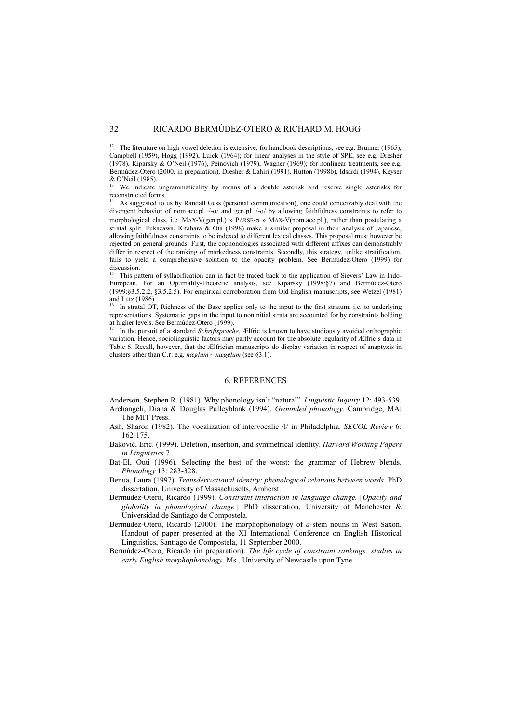<sup>12</sup> The literature on high vowel deletion is extensive: for handbook descriptions, see e.g. Brunner (1965), Campbell (1959), Hogg (1992), Luick (1964); for linear analyses in the style of SPE, see e.g. Dresher (1978), Kiparsky & O'Neil (1976), Peinovich (1979), Wagner (1969); for nonlinear treatments, see e.g. Bermúdez-Otero (2000, in preparation), Dresher & Lahiri (1991), Hutton (1998b), Idsardi (1994), Keyser & O'Neil (1985).

13 We indicate ungrammaticality by means of a double asterisk and reserve single asterisks for reconstructed forms.

14 As suggested to us by Randall Gess (personal communication), one could conceivably deal with the divergent behavior of nom.acc.pl. /-a/ and gen.pl. /-a/ by allowing faithfulness constraints to refer to morphological class, i.e. MAX-V(gen.pl.) » PARSE-σ » MAX-V(nom.acc.pl.), rather than postulating a stratal split. Fukazawa, Kitahara & Ota (1998) make a similar proposal in their analysis of Japanese, allowing faithfulness constraints to be indexed to different lexical classes. This proposal must however be rejected on general grounds. First, the cophonologies associated with different affixes can demonstrably differ in respect of the ranking of markedness constraints. Secondly, this strategy, unlike stratification, fails to yield a comprehensive solution to the opacity problem. See Bermudez-Otero (1999) for discussion.

This pattern of syllabification can in fact be traced back to the application of Sievers' Law in Indo-European. For an Optimality-Theoretic analysis, see Kiparsky (1998:§7) and Bermúdez-Otero (1999:ß3.5.2.2, ß3.5.2.5). For empirical corroboration from Old English manuscripts, see Wetzel (1981) and Lutz (1986).

<sup>16</sup> In stratal OT, Richness of the Base applies only to the input to the first stratum, i.e. to underlying representations. Systematic gaps in the input to noninitial strata are accounted for by constraints holding at higher levels. See Bermúdez-Otero (1999).

17 In the pursuit of a standard *Schriftsprache*, Ælfric is known to have studiously avoided orthographic variation. Hence, sociolinguistic factors may partly account for the absolute regularity of Ælfric's data in Table 6. Recall, however, that the Ælfrician manuscripts do display variation in respect of anaptyxis in clusters other than C.r: e.g.  $n\alpha g lum \sim n\alpha g e lum$  (see §3.1).

#### 6. REFERENCES

Anderson, Stephen R. (1981). Why phonology isn't "natural". *Linguistic Inquiry* 12: 493-539. Archangeli, Diana & Douglas Pulleyblank (1994). *Grounded phonology.* Cambridge, MA: The MIT Press.

Ash, Sharon (1982). The vocalization of intervocalic /l/ in Philadelphia. *SECOL Review* 6: 162-175.

- Baković, Eric. (1999). Deletion, insertion, and symmetrical identity. *Harvard Working Papers in Linguistics* 7.
- Bat-El, Outi (1996). Selecting the best of the worst: the grammar of Hebrew blends. *Phonology* 13: 283-328.
- Benua, Laura (1997). *Transderivational identity: phonological relations between words*. PhD dissertation, University of Massachusetts, Amherst.
- Berm˙dez-Otero, Ricardo (1999). *Constraint interaction in language change.* [*Opacity and globality in phonological change.*] PhD dissertation, University of Manchester & Universidad de Santiago de Compostela.
- Bermúdez-Otero, Ricardo (2000). The morphophonology of *a*-stem nouns in West Saxon. Handout of paper presented at the XI International Conference on English Historical Linguistics, Santiago de Compostela, 11 September 2000.
- Bermúdez-Otero, Ricardo (in preparation). *The life cycle of constraint rankings: studies in early English morphophonology*. Ms., University of Newcastle upon Tyne.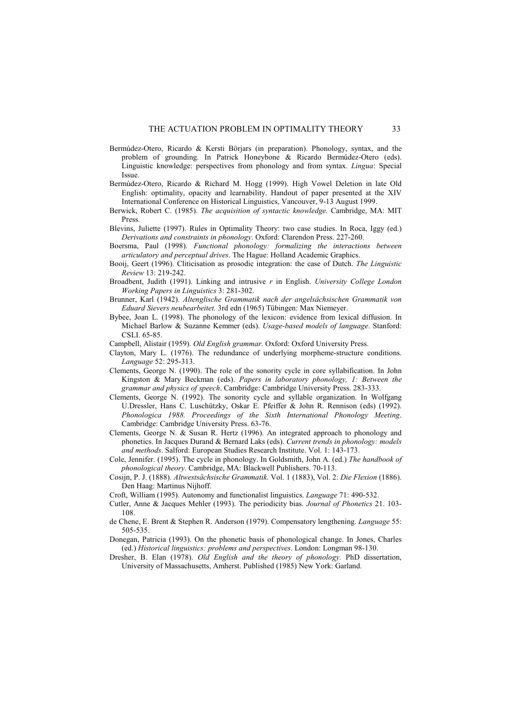- Bermúdez-Otero, Ricardo & Kersti Börjars (in preparation). Phonology, syntax, and the problem of grounding. In Patrick Honeybone & Ricardo Bermúdez-Otero (eds). Linguistic knowledge: perspectives from phonology and from syntax. *Lingua*: Special Issue.
- Bermúdez-Otero, Ricardo & Richard M. Hogg (1999). High Vowel Deletion in late Old English: optimality, opacity and learnability. Handout of paper presented at the XIV International Conference on Historical Linguistics, Vancouver, 9-13 August 1999.
- Berwick, Robert C. (1985). *The acquisition of syntactic knowledge.* Cambridge, MA: MIT Press.
- Blevins, Juliette (1997). Rules in Optimality Theory: two case studies. In Roca, Iggy (ed.) *Derivations and constraints in phonology*. Oxford: Clarendon Press. 227-260.
- Boersma, Paul (1998). *Functional phonology: formalizing the interactions between articulatory and perceptual drives*. The Hague: Holland Academic Graphics.
- Booij, Geert (1996). Cliticisation as prosodic integration: the case of Dutch. *The Linguistic Review* 13: 219-242.
- Broadbent, Judith (1991). Linking and intrusive *r* in English. *University College London Working Papers in Linguistics* 3: 281-302.
- Brunner, Karl (1942). *Altenglische Grammatik nach der angels‰chsischen Grammatik von Eduard Sievers neubearbeitet.* 3rd edn (1965) Tübingen: Max Niemeyer.
- Bybee, Joan L. (1998). The phonology of the lexicon: evidence from lexical diffusion. In Michael Barlow & Suzanne Kemmer (eds). *Usage-based models of language*. Stanford: CSLI. 65-85.
- Campbell, Alistair (1959). *Old English grammar.* Oxford: Oxford University Press.
- Clayton, Mary L. (1976). The redundance of underlying morpheme-structure conditions. *Language* 52: 295-313.
- Clements, George N. (1990). The role of the sonority cycle in core syllabification. In John Kingston & Mary Beckman (eds). *Papers in laboratory phonology, 1: Between the grammar and physics of speech*. Cambridge: Cambridge University Press. 283-333.
- Clements, George N. (1992). The sonority cycle and syllable organization. In Wolfgang U.Dressler, Hans C. Luschützky, Oskar E. Pfeiffer & John R. Rennison (eds) (1992). *Phonologica 1988. Proceedings of the Sixth International Phonology Meeting*. Cambridge: Cambridge University Press. 63-76.
- Clements, George N. & Susan R. Hertz (1996). An integrated approach to phonology and phonetics. In Jacques Durand & Bernard Laks (eds). *Current trends in phonology: models and methods*. Salford: European Studies Research Institute. Vol. 1: 143-173.
- Cole, Jennifer. (1995). The cycle in phonology. In Goldsmith, John A. (ed.) *The handbook of phonological theory*. Cambridge, MA: Blackwell Publishers. 70-113.
- Cosijn, P. J. (1888). *Altwests‰chsische Grammatik*. Vol. 1 (1883), Vol. 2: *Die Flexion* (1886). Den Haag: Martinus Nijhoff.
- Croft, William (1995). Autonomy and functionalist linguistics. *Language* 71: 490-532.
- Cutler, Anne & Jacques Mehler (1993). The periodicity bias. *Journal of Phonetics* 21. 103- 108.
- de Chene, E. Brent & Stephen R. Anderson (1979). Compensatory lengthening. *Language* 55: 505-535.
- Donegan, Patricia (1993). On the phonetic basis of phonological change. In Jones, Charles (ed.) *Historical linguistics: problems and perspectives*. London: Longman 98-130.
- Dresher, B. Elan (1978). *Old English and the theory of phonology.* PhD dissertation, University of Massachusetts, Amherst. Published (1985) New York: Garland.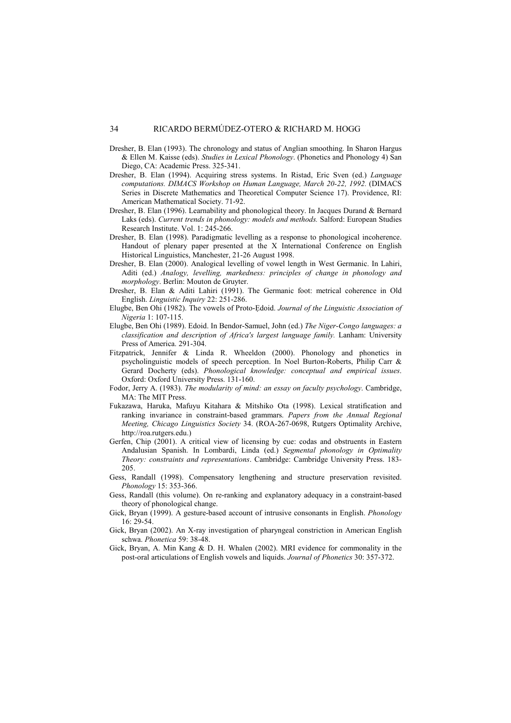- Dresher, B. Elan (1993). The chronology and status of Anglian smoothing. In Sharon Hargus & Ellen M. Kaisse (eds). *Studies in Lexical Phonology*. (Phonetics and Phonology 4) San Diego, CA: Academic Press. 325-341.
- Dresher, B. Elan (1994). Acquiring stress systems. In Ristad, Eric Sven (ed.) *Language computations. DIMACS Workshop on Human Language, March 20-22, 1992.* (DIMACS Series in Discrete Mathematics and Theoretical Computer Science 17). Providence, RI: American Mathematical Society. 71-92.
- Dresher, B. Elan (1996). Learnability and phonological theory. In Jacques Durand & Bernard Laks (eds). *Current trends in phonology: models and methods.* Salford: European Studies Research Institute. Vol. 1: 245-266.
- Dresher, B. Elan (1998). Paradigmatic levelling as a response to phonological incoherence. Handout of plenary paper presented at the X International Conference on English Historical Linguistics, Manchester, 21-26 August 1998.
- Dresher, B. Elan (2000). Analogical levelling of vowel length in West Germanic. In Lahiri, Aditi (ed.) *Analogy, levelling, markedness: principles of change in phonology and morphology*. Berlin: Mouton de Gruyter.
- Dresher, B. Elan & Aditi Lahiri (1991). The Germanic foot: metrical coherence in Old English. *Linguistic Inquiry* 22: 251-286.
- Elugbe, Ben Ohi (1982). The vowels of Proto-Ẹdoid. *Journal of the Linguistic Association of Nigeria* 1: 107-115.
- Elugbe, Ben Ohi (1989). Edoid. In Bendor-Samuel, John (ed.) *The Niger-Congo languages: a classification and description of Africa's largest language family.* Lanham: University Press of America. 291-304.
- Fitzpatrick, Jennifer & Linda R. Wheeldon (2000). Phonology and phonetics in psycholinguistic models of speech perception. In Noel Burton-Roberts, Philip Carr & Gerard Docherty (eds). *Phonological knowledge: conceptual and empirical issues*. Oxford: Oxford University Press. 131-160.
- Fodor, Jerry A. (1983). *The modularity of mind: an essay on faculty psychology*. Cambridge, MA: The MIT Press.
- Fukazawa, Haruka, Mafuyu Kitahara & Mitshiko Ota (1998). Lexical stratification and ranking invariance in constraint-based grammars. *Papers from the Annual Regional Meeting, Chicago Linguistics Society* 34. (ROA-267-0698, Rutgers Optimality Archive, http://roa.rutgers.edu.)
- Gerfen, Chip (2001). A critical view of licensing by cue: codas and obstruents in Eastern Andalusian Spanish. In Lombardi, Linda (ed.) *Segmental phonology in Optimality Theory: constraints and representations*. Cambridge: Cambridge University Press. 183- 205.
- Gess, Randall (1998). Compensatory lengthening and structure preservation revisited. *Phonology* 15: 353-366.
- Gess, Randall (this volume). On re-ranking and explanatory adequacy in a constraint-based theory of phonological change.
- Gick, Bryan (1999). A gesture-based account of intrusive consonants in English. *Phonology* 16: 29-54.
- Gick, Bryan (2002). An X-ray investigation of pharyngeal constriction in American English schwa. *Phonetica* 59: 38-48.
- Gick, Bryan, A. Min Kang & D. H. Whalen (2002). MRI evidence for commonality in the post-oral articulations of English vowels and liquids. *Journal of Phonetics* 30: 357-372.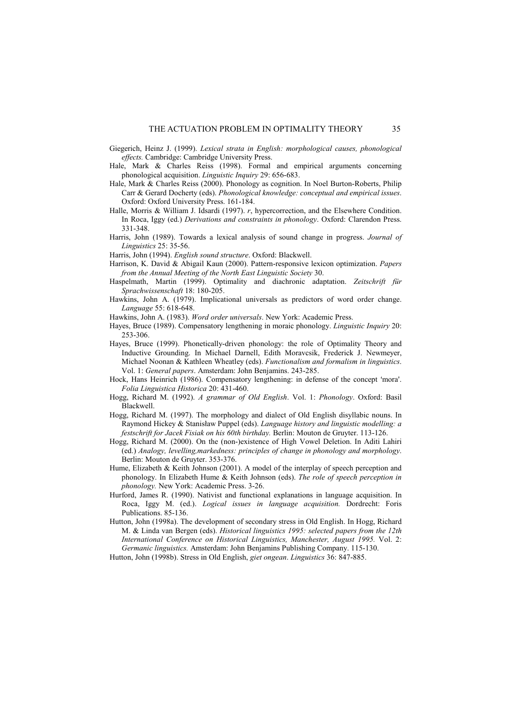- Giegerich, Heinz J. (1999). *Lexical strata in English: morphological causes, phonological effects.* Cambridge: Cambridge University Press.
- Hale, Mark & Charles Reiss (1998). Formal and empirical arguments concerning phonological acquisition. *Linguistic Inquiry* 29: 656-683.
- Hale, Mark & Charles Reiss (2000). Phonology as cognition. In Noel Burton-Roberts, Philip Carr & Gerard Docherty (eds). *Phonological knowledge: conceptual and empirical issues*. Oxford: Oxford University Press. 161-184.
- Halle, Morris & William J. Idsardi (1997). *r*, hypercorrection, and the Elsewhere Condition. In Roca, Iggy (ed.) *Derivations and constraints in phonology*. Oxford: Clarendon Press. 331-348.
- Harris, John (1989). Towards a lexical analysis of sound change in progress. *Journal of Linguistics* 25: 35-56.
- Harris, John (1994). *English sound structure*. Oxford: Blackwell.
- Harrison, K. David & Abigail Kaun (2000). Pattern-responsive lexicon optimization. *Papers from the Annual Meeting of the North East Linguistic Society* 30.
- Haspelmath, Martin (1999). Optimality and diachronic adaptation. Zeitschrift für *Sprachwissenschaft* 18: 180-205.
- Hawkins, John A. (1979). Implicational universals as predictors of word order change. *Language* 55: 618-648.
- Hawkins, John A. (1983). *Word order universals*. New York: Academic Press.
- Hayes, Bruce (1989). Compensatory lengthening in moraic phonology. *Linguistic Inquiry* 20: 253-306.
- Hayes, Bruce (1999). Phonetically-driven phonology: the role of Optimality Theory and Inductive Grounding. In Michael Darnell, Edith Moravcsik, Frederick J. Newmeyer, Michael Noonan & Kathleen Wheatley (eds). *Functionalism and formalism in linguistics*. Vol. 1: *General papers*. Amsterdam: John Benjamins. 243-285.
- Hock, Hans Heinrich (1986). Compensatory lengthening: in defense of the concept 'mora'. *Folia Linguistica Historica* 20: 431-460.
- Hogg, Richard M. (1992). *A grammar of Old English*. Vol. 1: *Phonology*. Oxford: Basil Blackwell.
- Hogg, Richard M. (1997). The morphology and dialect of Old English disyllabic nouns. In Raymond Hickey & Stanisław Puppel (eds). *Language history and linguistic modelling: a festschrift for Jacek Fisiak on his 60th birthday.* Berlin: Mouton de Gruyter. 113-126.
- Hogg, Richard M. (2000). On the (non-)existence of High Vowel Deletion. In Aditi Lahiri (ed.) *Analogy, levelling,markedness: principles of change in phonology and morphology*. Berlin: Mouton de Gruyter. 353-376.
- Hume, Elizabeth & Keith Johnson (2001). A model of the interplay of speech perception and phonology. In Elizabeth Hume & Keith Johnson (eds). *The role of speech perception in phonology.* New York: Academic Press. 3-26.
- Hurford, James R. (1990). Nativist and functional explanations in language acquisition. In Roca, Iggy M. (ed.). *Logical issues in language acquisition.* Dordrecht: Foris Publications. 85-136.
- Hutton, John (1998a). The development of secondary stress in Old English. In Hogg, Richard M. & Linda van Bergen (eds). *Historical linguistics 1995: selected papers from the 12th International Conference on Historical Linguistics, Manchester, August 1995.* Vol. 2: *Germanic linguistics.* Amsterdam: John Benjamins Publishing Company. 115-130.
- Hutton, John (1998b). Stress in Old English, *giet ongean*. *Linguistics* 36: 847-885.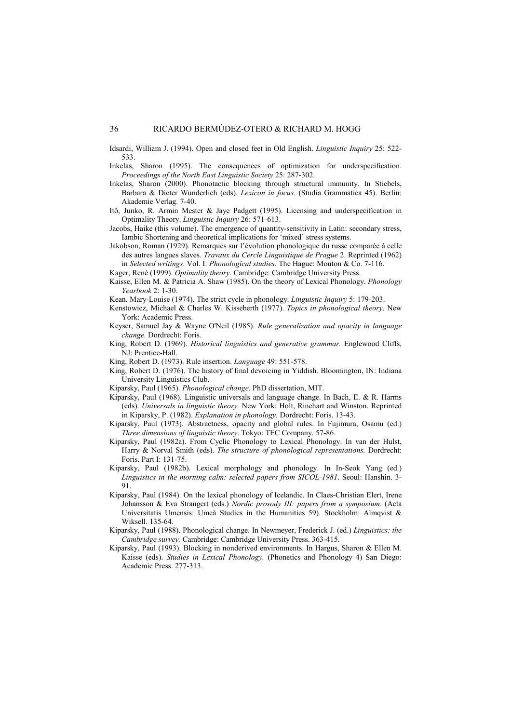Idsardi, William J. (1994). Open and closed feet in Old English. *Linguistic Inquiry* 25: 522- 533.

- Inkelas, Sharon (1995). The consequences of optimization for underspecification. *Proceedings of the North East Linguistic Society* 25: 287-302.
- Inkelas, Sharon (2000). Phonotactic blocking through structural immunity. In Stiebels, Barbara & Dieter Wunderlich (eds). *Lexicon in focus.* (Studia Grammatica 45). Berlin: Akademie Verlag. 7-40.
- Itô, Junko, R. Armin Mester & Jaye Padgett (1995). Licensing and underspecification in Optimality Theory. *Linguistic Inquiry* 26: 571-613.
- Jacobs, Haike (this volume). The emergence of quantity-sensitivity in Latin: secondary stress, Iambic Shortening and theoretical implications for 'mixed' stress systems.
- Jakobson, Roman (1929). Remarques sur l'évolution phonologique du russe comparée à celle des autres langues slaves. *Travaux du Cercle Linguistique de Prague* 2. Reprinted (1962) in *Selected writings*. Vol. I: *Phonological studies*. The Hague: Mouton & Co. 7-116.
- Kager, RenÈ (1999). *Optimality theory.* Cambridge: Cambridge University Press.
- Kaisse, Ellen M. & Patricia A. Shaw (1985). On the theory of Lexical Phonology. *Phonology Yearbook* 2: 1-30.
- Kean, Mary-Louise (1974). The strict cycle in phonology. *Linguistic Inquiry* 5: 179-203.
- Kenstowicz, Michael & Charles W. Kisseberth (1977). *Topics in phonological theory*. New York: Academic Press.
- Keyser, Samuel Jay & Wayne O'Neil (1985). *Rule generalization and opacity in language change.* Dordrecht: Foris.
- King, Robert D. (1969). *Historical linguistics and generative grammar.* Englewood Cliffs, NJ: Prentice-Hall.
- King, Robert D. (1973). Rule insertion. *Language* 49: 551-578.
- King, Robert D. (1976). The history of final devoicing in Yiddish. Bloomington, IN: Indiana University Linguistics Club.
- Kiparsky, Paul (1965). *Phonological change*. PhD dissertation, MIT.
- Kiparsky, Paul (1968). Linguistic universals and language change. In Bach, E. & R. Harms (eds). *Universals in linguistic theory.* New York: Holt, Rinehart and Winston. Reprinted in Kiparsky, P. (1982). *Explanation in phonology.* Dordrecht: Foris. 13-43.
- Kiparsky, Paul (1973). Abstractness, opacity and global rules. In Fujimura, Osamu (ed.) *Three dimensions of linguistic theory*. Tokyo: TEC Company. 57-86.
- Kiparsky, Paul (1982a). From Cyclic Phonology to Lexical Phonology. In van der Hulst, Harry & Norval Smith (eds). *The structure of phonological representations.* Dordrecht: Foris. Part I: 131-75.
- Kiparsky, Paul (1982b). Lexical morphology and phonology. In In-Seok Yang (ed.) *Linguistics in the morning calm: selected papers from SICOL-1981*. Seoul: Hanshin. 3- 91.
- Kiparsky, Paul (1984). On the lexical phonology of Icelandic. In Claes-Christian Elert, Irene Johansson & Eva Strangert (eds.) *Nordic prosody III: papers from a symposium*. (Acta Universitatis Umensis: Umeå Studies in the Humanities 59). Stockholm: Almqvist & Wiksell. 135-64.
- Kiparsky, Paul (1988). Phonological change. In Newmeyer, Frederick J. (ed.) *Linguistics: the Cambridge survey.* Cambridge: Cambridge University Press. 363-415.
- Kiparsky, Paul (1993). Blocking in nonderived environments. In Hargus, Sharon & Ellen M. Kaisse (eds). *Studies in Lexical Phonology.* (Phonetics and Phonology 4) San Diego: Academic Press. 277-313.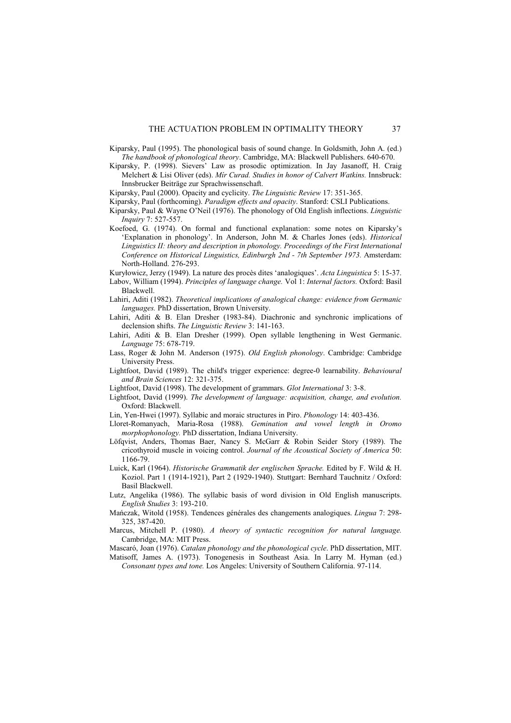Kiparsky, Paul (1995). The phonological basis of sound change. In Goldsmith, John A. (ed.) *The handbook of phonological theory*. Cambridge, MA: Blackwell Publishers. 640-670.

- Kiparsky, P. (1998). Sieversí Law as prosodic optimization. In Jay Jasanoff, H. Craig Melchert & Lisi Oliver (eds). *MÌr Curad. Studies in honor of Calvert Watkins.* Innsbruck: Innsbrucker Beiträge zur Sprachwissenschaft.
- Kiparsky, Paul (2000). Opacity and cyclicity. *The Linguistic Review* 17: 351-365.

Kiparsky, Paul (forthcoming). *Paradigm effects and opacity*. Stanford: CSLI Publications.

- Kiparsky, Paul & Wayne OíNeil (1976). The phonology of Old English inflections. *Linguistic Inquiry* 7: 527-557.
- Koefoed, G. (1974). On formal and functional explanation: some notes on Kiparskyís ëExplanation in phonologyí. In Anderson, John M. & Charles Jones (eds). *Historical Linguistics II: theory and description in phonology. Proceedings of the First International Conference on Historical Linguistics, Edinburgh 2nd - 7th September 1973.* Amsterdam: North-Holland. 276-293.

Kuryłowicz, Jerzy (1949). La nature des procès dites 'analogiques'. *Acta Linguistica* 5: 15-37.

Labov, William (1994). *Principles of language change.* Vol 1: *Internal factors.* Oxford: Basil Blackwell.

Lahiri, Aditi (1982). *Theoretical implications of analogical change: evidence from Germanic languages.* PhD dissertation, Brown University.

- Lahiri, Aditi & B. Elan Dresher (1983-84). Diachronic and synchronic implications of declension shifts. *The Linguistic Review* 3: 141-163.
- Lahiri, Aditi & B. Elan Dresher (1999). Open syllable lengthening in West Germanic. *Language* 75: 678-719.
- Lass, Roger & John M. Anderson (1975). *Old English phonology*. Cambridge: Cambridge University Press.
- Lightfoot, David (1989). The child's trigger experience: degree-0 learnability. *Behavioural and Brain Sciences* 12: 321-375.
- Lightfoot, David (1998). The development of grammars. *Glot International* 3: 3-8.
- Lightfoot, David (1999). *The development of language: acquisition, change, and evolution.* Oxford: Blackwell.
- Lin, Yen-Hwei (1997). Syllabic and moraic structures in Piro. *Phonology* 14: 403-436.
- Lloret-Romanyach, Maria-Rosa (1988). *Gemination and vowel length in Oromo morphophonology.* PhD dissertation, Indiana University.
- Löfqvist, Anders, Thomas Baer, Nancy S. McGarr & Robin Seider Story (1989). The cricothyroid muscle in voicing control. *Journal of the Acoustical Society of America* 50: 1166-79.
- Luick, Karl (1964). *Historische Grammatik der englischen Sprache.* Edited by F. Wild & H. Koziol. Part 1 (1914-1921), Part 2 (1929-1940). Stuttgart: Bernhard Tauchnitz / Oxford: Basil Blackwell.
- Lutz, Angelika (1986). The syllabic basis of word division in Old English manuscripts. *English Studies* 3: 193-210.
- Mańczak, Witold (1958). Tendences générales des changements analogiques. *Lingua* 7: 298-325, 387-420.
- Marcus, Mitchell P. (1980). *A theory of syntactic recognition for natural language.* Cambridge, MA: MIT Press.

Mascaró, Joan (1976). *Catalan phonology and the phonological cycle*. PhD dissertation, MIT.

Matisoff, James A. (1973). Tonogenesis in Southeast Asia. In Larry M. Hyman (ed.) *Consonant types and tone.* Los Angeles: University of Southern California. 97-114.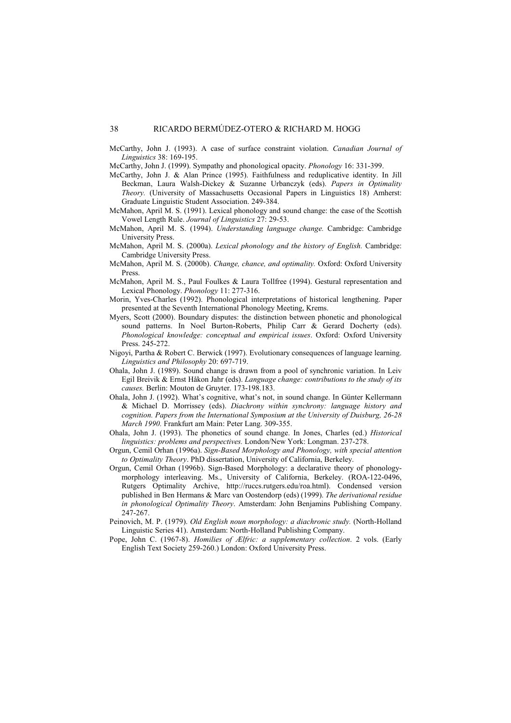McCarthy, John J. (1993). A case of surface constraint violation. *Canadian Journal of Linguistics* 38: 169-195.

- McCarthy, John J. (1999). Sympathy and phonological opacity. *Phonology* 16: 331-399.
- McCarthy, John J. & Alan Prince (1995). Faithfulness and reduplicative identity. In Jill Beckman, Laura Walsh-Dickey & Suzanne Urbanczyk (eds). *Papers in Optimality Theory.* (University of Massachusetts Occasional Papers in Linguistics 18) Amherst: Graduate Linguistic Student Association. 249-384.
- McMahon, April M. S. (1991). Lexical phonology and sound change: the case of the Scottish Vowel Length Rule. *Journal of Linguistics* 27: 29-53.
- McMahon, April M. S. (1994). *Understanding language change.* Cambridge: Cambridge University Press.
- McMahon, April M. S. (2000a). *Lexical phonology and the history of English.* Cambridge: Cambridge University Press.
- McMahon, April M. S. (2000b). *Change, chance, and optimality.* Oxford: Oxford University Press.
- McMahon, April M. S., Paul Foulkes & Laura Tollfree (1994). Gestural representation and Lexical Phonology. *Phonology* 11: 277-316.
- Morin, Yves-Charles (1992). Phonological interpretations of historical lengthening. Paper presented at the Seventh International Phonology Meeting, Krems.
- Myers, Scott (2000). Boundary disputes: the distinction between phonetic and phonological sound patterns. In Noel Burton-Roberts, Philip Carr & Gerard Docherty (eds). *Phonological knowledge: conceptual and empirical issues*. Oxford: Oxford University Press. 245-272.
- Nigoyi, Partha & Robert C. Berwick (1997). Evolutionary consequences of language learning. *Linguistics and Philosophy* 20: 697-719.
- Ohala, John J. (1989). Sound change is drawn from a pool of synchronic variation. In Leiv Egil Breivik & Ernst HÂkon Jahr (eds). *Language change: contributions to the study of its causes.* Berlin: Mouton de Gruyter. 173-198.183.
- Ohala, John J. (1992). What's cognitive, what's not, in sound change. In Günter Kellermann & Michael D. Morrissey (eds). *Diachrony within synchrony: language history and cognition. Papers from the International Symposium at the University of Duisburg, 26-28 March 1990.* Frankfurt am Main: Peter Lang. 309-355.
- Ohala, John J. (1993). The phonetics of sound change. In Jones, Charles (ed.) *Historical linguistics: problems and perspectives.* London/New York: Longman. 237-278.
- Orgun, Cemil Orhan (1996a). *Sign-Based Morphology and Phonology, with special attention to Optimality Theory*. PhD dissertation, University of California, Berkeley.
- Orgun, Cemil Orhan (1996b). Sign-Based Morphology: a declarative theory of phonologymorphology interleaving. Ms., University of California, Berkeley. (ROA-122-0496, Rutgers Optimality Archive, http://ruccs.rutgers.edu/roa.html). Condensed version published in Ben Hermans & Marc van Oostendorp (eds) (1999). *The derivational residue in phonological Optimality Theory*. Amsterdam: John Benjamins Publishing Company. 247-267.
- Peinovich, M. P. (1979). *Old English noun morphology: a diachronic study.* (North-Holland Linguistic Series 41). Amsterdam: North-Holland Publishing Company.
- Pope, John C. (1967-8). *Homilies of Ælfric: a supplementary collection*. 2 vols. (Early English Text Society 259-260.) London: Oxford University Press.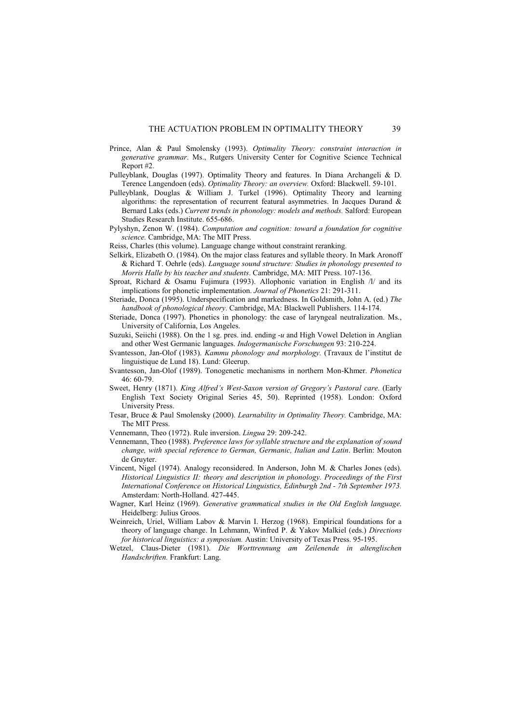- Prince, Alan & Paul Smolensky (1993). *Optimality Theory: constraint interaction in generative grammar*. Ms., Rutgers University Center for Cognitive Science Technical Report #2.
- Pulleyblank, Douglas (1997). Optimality Theory and features. In Diana Archangeli & D. Terence Langendoen (eds). *Optimality Theory: an overview.* Oxford: Blackwell. 59-101.
- Pulleyblank, Douglas & William J. Turkel (1996). Optimality Theory and learning algorithms: the representation of recurrent featural asymmetries. In Jacques Durand & Bernard Laks (eds.) *Current trends in phonology: models and methods.* Salford: European Studies Research Institute. 655-686.
- Pylyshyn, Zenon W. (1984). *Computation and cognition: toward a foundation for cognitive science.* Cambridge, MA: The MIT Press.
- Reiss, Charles (this volume). Language change without constraint reranking.
- Selkirk, Elizabeth O. (1984). On the major class features and syllable theory. In Mark Aronoff & Richard T. Oehrle (eds). *Language sound structure: Studies in phonology presented to Morris Halle by his teacher and students*. Cambridge, MA: MIT Press. 107-136.
- Sproat, Richard & Osamu Fujimura (1993). Allophonic variation in English /l/ and its implications for phonetic implementation. *Journal of Phonetics* 21: 291-311.
- Steriade, Donca (1995). Underspecification and markedness. In Goldsmith, John A. (ed.) *The handbook of phonological theory*. Cambridge, MA: Blackwell Publishers. 114-174.
- Steriade, Donca (1997). Phonetics in phonology: the case of laryngeal neutralization. Ms., University of California, Los Angeles.
- Suzuki, Seiichi (1988). On the 1 sg. pres. ind. ending -*u* and High Vowel Deletion in Anglian and other West Germanic languages. *Indogermanische Forschungen* 93: 210-224.
- Svantesson, Jan-Olof (1983). *Kammu phonology and morphology*. (Travaux de l'institut de linguistique de Lund 18). Lund: Gleerup.
- Svantesson, Jan-Olof (1989). Tonogenetic mechanisms in northern Mon-Khmer. *Phonetica*  46: 60-79.
- Sweet, Henry (1871). *King Alfredís West-Saxon version of Gregoryís Pastoral care*. (Early English Text Society Original Series 45, 50). Reprinted (1958). London: Oxford University Press.
- Tesar, Bruce & Paul Smolensky (2000). *Learnability in Optimality Theory.* Cambridge, MA: The MIT Press.
- Vennemann, Theo (1972). Rule inversion. *Lingua* 29: 209-242.
- Vennemann, Theo (1988). *Preference laws for syllable structure and the explanation of sound change, with special reference to German, Germanic, Italian and Latin*. Berlin: Mouton de Gruyter.
- Vincent, Nigel (1974). Analogy reconsidered. In Anderson, John M. & Charles Jones (eds). *Historical Linguistics II: theory and description in phonology. Proceedings of the First International Conference on Historical Linguistics, Edinburgh 2nd - 7th September 1973.* Amsterdam: North-Holland. 427-445.
- Wagner, Karl Heinz (1969). *Generative grammatical studies in the Old English language*. Heidelberg: Julius Groos.
- Weinreich, Uriel, William Labov & Marvin I. Herzog (1968). Empirical foundations for a theory of language change. In Lehmann, Winfred P. & Yakov Malkiel (eds.) *Directions for historical linguistics: a symposium.* Austin: University of Texas Press. 95-195.
- Wetzel, Claus-Dieter (1981). *Die Worttrennung am Zeilenende in altenglischen Handschriften.* Frankfurt: Lang.